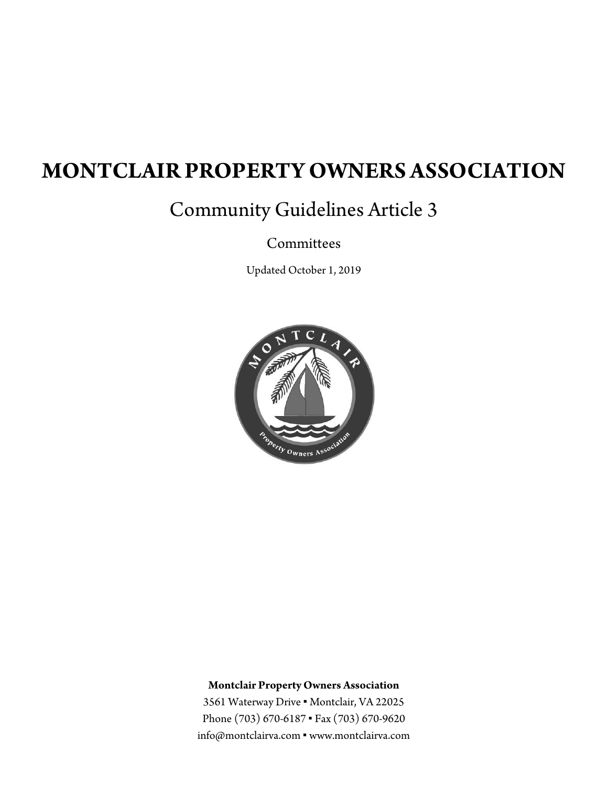# **MONTCLAIR PROPERTY OWNERS ASSOCIATION**

# Community Guidelines Article 3

**Committees** 

Updated October 1, 2019



#### **Montclair Property Owners Association**

3561 Waterway Drive ▪ Montclair, VA 22025 Phone (703) 670-6187 ▪ Fax (703) 670-9620 info@montclairva.com ▪ www.montclairva.com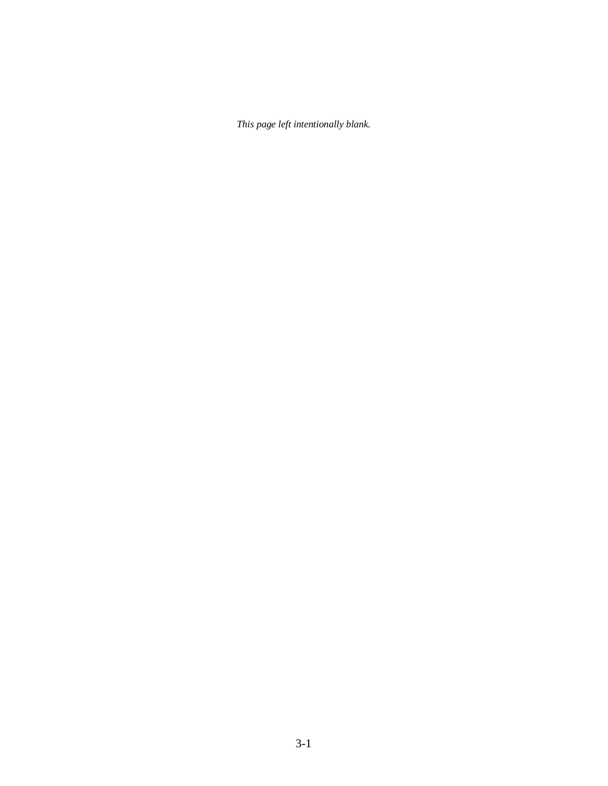*This page left intentionally blank.*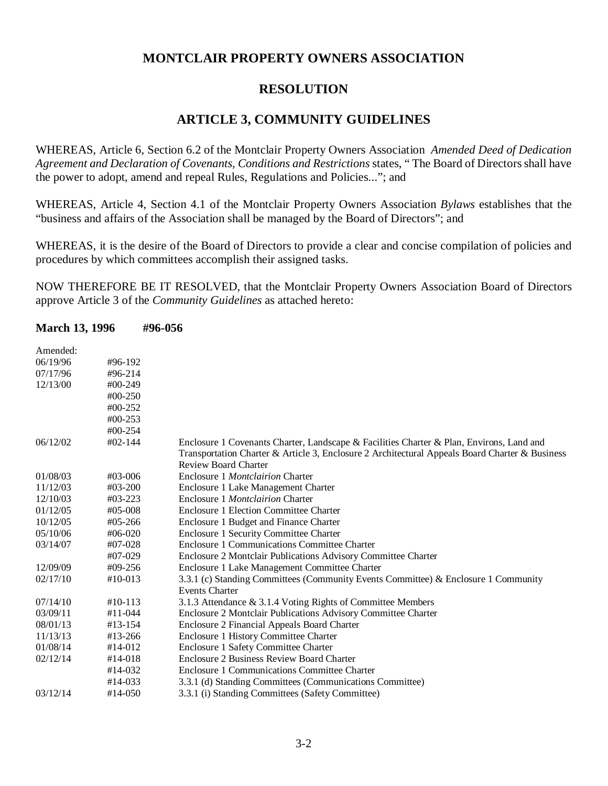# **MONTCLAIR PROPERTY OWNERS ASSOCIATION**

# **RESOLUTION**

# **ARTICLE 3, COMMUNITY GUIDELINES**

WHEREAS, Article 6, Section 6.2 of the Montclair Property Owners Association *Amended Deed of Dedication Agreement and Declaration of Covenants, Conditions and Restrictions* states, " The Board of Directors shall have the power to adopt, amend and repeal Rules, Regulations and Policies..."; and

WHEREAS, Article 4, Section 4.1 of the Montclair Property Owners Association *Bylaws* establishes that the "business and affairs of the Association shall be managed by the Board of Directors"; and

WHEREAS, it is the desire of the Board of Directors to provide a clear and concise compilation of policies and procedures by which committees accomplish their assigned tasks.

NOW THEREFORE BE IT RESOLVED, that the Montclair Property Owners Association Board of Directors approve Article 3 of the *Community Guidelines* as attached hereto:

**March 13, 1996 #96-056**

| <b>MARUE 19, 1770</b> |              | $\pi$ フV-VJV                                                                                   |
|-----------------------|--------------|------------------------------------------------------------------------------------------------|
| Amended:              |              |                                                                                                |
| 06/19/96              | #96-192      |                                                                                                |
| 07/17/96              | #96-214      |                                                                                                |
| 12/13/00              | #00-249      |                                                                                                |
|                       | $#00-250$    |                                                                                                |
|                       | #00-252      |                                                                                                |
|                       | #00-253      |                                                                                                |
|                       | $#00-254$    |                                                                                                |
| 06/12/02              | $#02 - 144$  | Enclosure 1 Covenants Charter, Landscape & Facilities Charter & Plan, Environs, Land and       |
|                       |              | Transportation Charter & Article 3, Enclosure 2 Architectural Appeals Board Charter & Business |
|                       |              | <b>Review Board Charter</b>                                                                    |
| 01/08/03              | $#03-006$    | Enclosure 1 <i>Montclairion</i> Charter                                                        |
| 11/12/03              | $#03 - 200$  | Enclosure 1 Lake Management Charter                                                            |
| 12/10/03              | $#03 - 223$  | Enclosure 1 <i>Montclairion</i> Charter                                                        |
| 01/12/05              | $\#05 - 008$ | <b>Enclosure 1 Election Committee Charter</b>                                                  |
| 10/12/05              | $#05 - 266$  | Enclosure 1 Budget and Finance Charter                                                         |
| 05/10/06              | $#06-020$    | <b>Enclosure 1 Security Committee Charter</b>                                                  |
| 03/14/07              | #07-028      | <b>Enclosure 1 Communications Committee Charter</b>                                            |
|                       | #07-029      | Enclosure 2 Montclair Publications Advisory Committee Charter                                  |
| 12/09/09              | #09-256      | Enclosure 1 Lake Management Committee Charter                                                  |
| 02/17/10              | #10-013      | 3.3.1 (c) Standing Committees (Community Events Committee) & Enclosure 1 Community             |
|                       |              | <b>Events Charter</b>                                                                          |
| 07/14/10              | $#10-113$    | 3.1.3 Attendance & 3.1.4 Voting Rights of Committee Members                                    |
| 03/09/11              | #11-044      | Enclosure 2 Montclair Publications Advisory Committee Charter                                  |
| 08/01/13              | $#13-154$    | Enclosure 2 Financial Appeals Board Charter                                                    |
| 11/13/13              | $#13 - 266$  | Enclosure 1 History Committee Charter                                                          |
| 01/08/14              | $#14-012$    | <b>Enclosure 1 Safety Committee Charter</b>                                                    |
| 02/12/14              | $#14-018$    | <b>Enclosure 2 Business Review Board Charter</b>                                               |
|                       | #14-032      | <b>Enclosure 1 Communications Committee Charter</b>                                            |
|                       | $#14-033$    | 3.3.1 (d) Standing Committees (Communications Committee)                                       |
| 03/12/14              | $#14 - 050$  | 3.3.1 (i) Standing Committees (Safety Committee)                                               |
|                       |              |                                                                                                |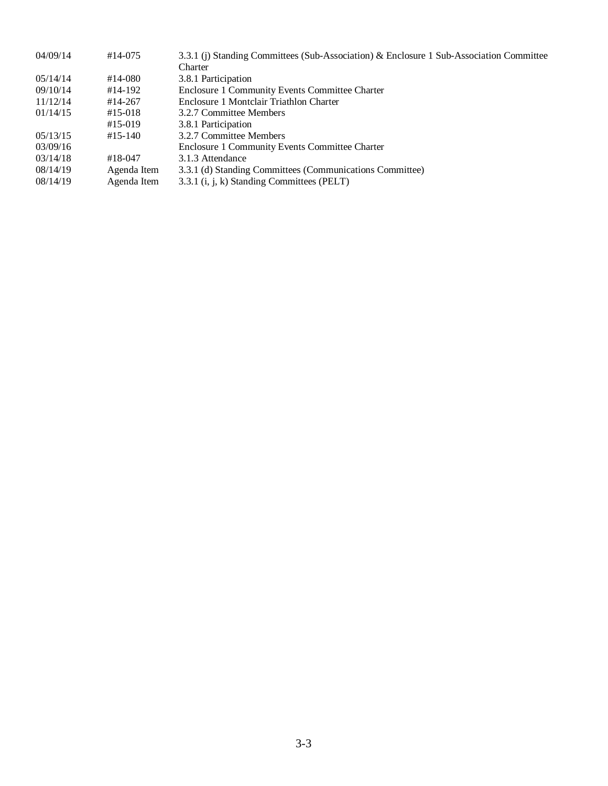| 04/09/14 | #14-075     | 3.3.1 (j) Standing Committees (Sub-Association) & Enclosure 1 Sub-Association Committee |
|----------|-------------|-----------------------------------------------------------------------------------------|
|          |             | Charter                                                                                 |
| 05/14/14 | #14-080     | 3.8.1 Participation                                                                     |
| 09/10/14 | #14-192     | Enclosure 1 Community Events Committee Charter                                          |
| 11/12/14 | #14-267     | Enclosure 1 Montclair Triathlon Charter                                                 |
| 01/14/15 | #15-018     | 3.2.7 Committee Members                                                                 |
|          | #15-019     | 3.8.1 Participation                                                                     |
| 05/13/15 | #15-140     | 3.2.7 Committee Members                                                                 |
| 03/09/16 |             | Enclosure 1 Community Events Committee Charter                                          |
| 03/14/18 | #18-047     | 3.1.3 Attendance                                                                        |
| 08/14/19 | Agenda Item | 3.3.1 (d) Standing Committees (Communications Committee)                                |
| 08/14/19 | Agenda Item | 3.3.1 (i, j, k) Standing Committees (PELT)                                              |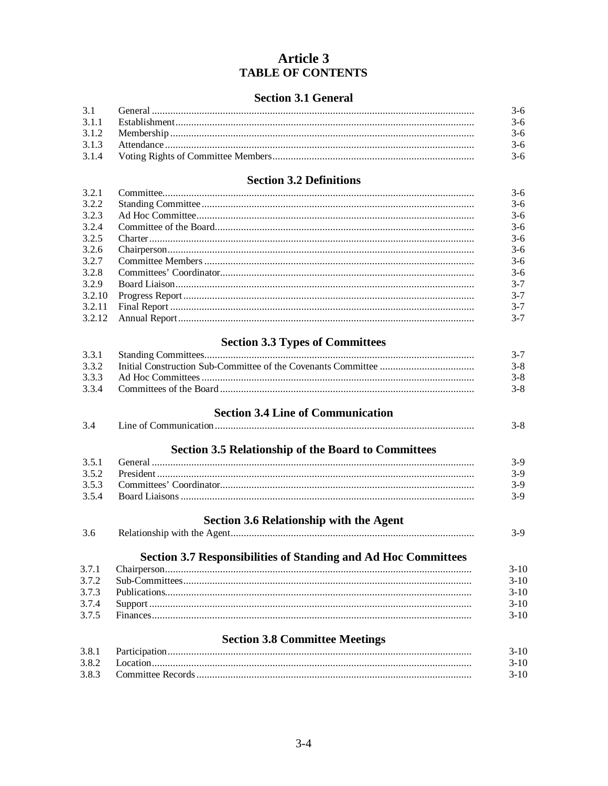# **Article 3 TABLE OF CONTENTS**

### **Section 3.1 General**

|  | $3 - 6$ |
|--|---------|
|  | $3-6$   |
|  | $3-6$   |
|  | $3-6$   |
|  | $3 - 6$ |

### **Section 3.2 Definitions**

|        | месити это репинент |         |
|--------|---------------------|---------|
| 3.2.1  |                     | 3-6     |
| 3.2.2  |                     | $3 - 6$ |
| 3.2.3  |                     | $3 - 6$ |
| 3.2.4  |                     | $3 - 6$ |
| 3.2.5  |                     | $3-6$   |
| 3.2.6  |                     | $3-6$   |
| 3.2.7  |                     | $3-6$   |
| 3.2.8  |                     | $3-6$   |
| 3.2.9  |                     | $3 - 7$ |
| 3.2.10 |                     | $3 - 7$ |
|        |                     | $3 - 7$ |
|        |                     | $3 - 7$ |

### **Section 3.3 Types of Committees**

|                                                                     | $3 - 7$ |
|---------------------------------------------------------------------|---------|
| 3.3.2 Initial Construction Sub-Committee of the Covenants Committee | $3 - 8$ |
|                                                                     | $3 - 8$ |
|                                                                     | $3 - 8$ |

### **Section 3.4 Line of Communication**

| 3.4 |  |  |
|-----|--|--|
|-----|--|--|

# **Section 3.5 Relationship of the Board to Committees**

|  | $3-9$ |
|--|-------|
|  | $3-9$ |
|  | $3-9$ |
|  | 3-9   |

### Section 3.6 Relationship with the Agent

| $\sim$<br>3.6 |  |  |  |  |
|---------------|--|--|--|--|

### Section 3.7 Responsibilities of Standing and Ad Hoc Committees

|  | $3-10$ |
|--|--------|
|  | $3-10$ |
|  | $3-10$ |
|  | $3-10$ |
|  | $3-10$ |

### **Section 3.8 Committee Meetings**

| 3.8.2 |  |
|-------|--|
|       |  |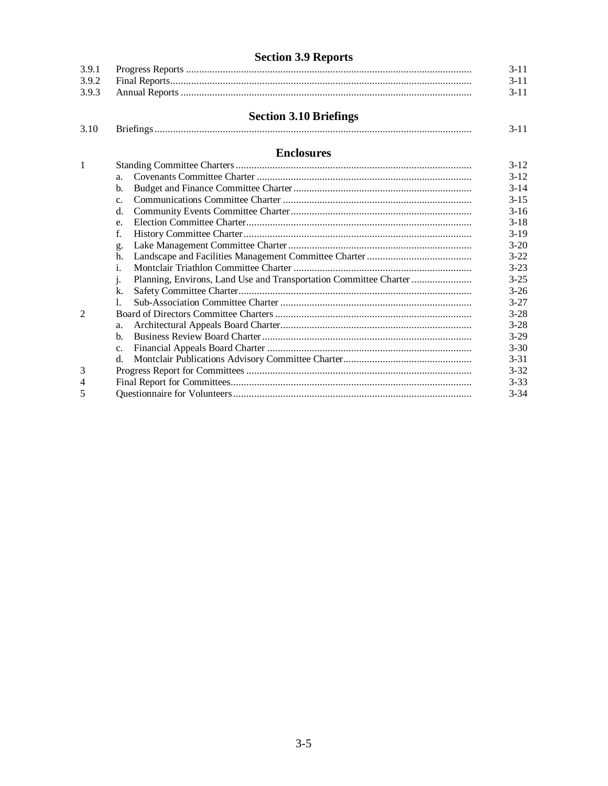# **Section 3.9 Reports**

| 3.9.1 |  |
|-------|--|
| 3.9.2 |  |
| 3.9.3 |  |

# **Section 3.10 Briefings**

| 3.10 |  |
|------|--|

# **Enclosures**

| 1              |                                                                         |          |  |
|----------------|-------------------------------------------------------------------------|----------|--|
|                | a.                                                                      | $3-12$   |  |
|                | b.                                                                      | $3 - 14$ |  |
|                | c.                                                                      | $3 - 15$ |  |
|                | d.                                                                      | $3 - 16$ |  |
|                | e.                                                                      | $3-18$   |  |
|                | f.                                                                      | $3-19$   |  |
|                | g.                                                                      | $3 - 20$ |  |
|                | h.                                                                      | $3-22$   |  |
|                | i.                                                                      | $3 - 23$ |  |
|                | Planning, Environs, Land Use and Transportation Committee Charter<br>1. | $3 - 25$ |  |
|                | k.                                                                      | $3 - 26$ |  |
|                |                                                                         | $3 - 27$ |  |
| $\overline{2}$ |                                                                         |          |  |
|                | a.                                                                      | $3 - 28$ |  |
|                | b.                                                                      | $3-29$   |  |
|                | c.                                                                      | $3 - 30$ |  |
|                | d.                                                                      | $3 - 31$ |  |
| 3              |                                                                         | $3 - 32$ |  |
| 4              |                                                                         | $3 - 33$ |  |
| 5              |                                                                         | $3 - 34$ |  |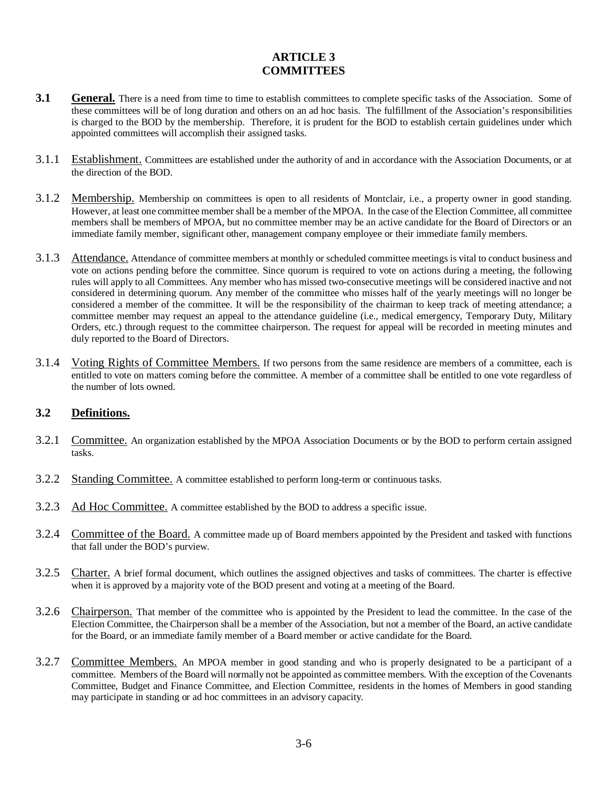### **ARTICLE 3 COMMITTEES**

- **3.1 General.** There is a need from time to time to establish committees to complete specific tasks of the Association. Some of these committees will be of long duration and others on an ad hoc basis. The fulfillment of the Association's responsibilities is charged to the BOD by the membership. Therefore, it is prudent for the BOD to establish certain guidelines under which appointed committees will accomplish their assigned tasks.
- 3.1.1 Establishment. Committees are established under the authority of and in accordance with the Association Documents, or at the direction of the BOD.
- 3.1.2 Membership. Membership on committees is open to all residents of Montclair, i.e., a property owner in good standing. However, at least one committee member shall be a member of the MPOA. In the case of the Election Committee, all committee members shall be members of MPOA, but no committee member may be an active candidate for the Board of Directors or an immediate family member, significant other, management company employee or their immediate family members.
- 3.1.3 Attendance. Attendance of committee members at monthly or scheduled committee meetings is vital to conduct business and vote on actions pending before the committee. Since quorum is required to vote on actions during a meeting, the following rules will apply to all Committees. Any member who has missed two-consecutive meetings will be considered inactive and not considered in determining quorum. Any member of the committee who misses half of the yearly meetings will no longer be considered a member of the committee. It will be the responsibility of the chairman to keep track of meeting attendance; a committee member may request an appeal to the attendance guideline (i.e., medical emergency, Temporary Duty, Military Orders, etc.) through request to the committee chairperson. The request for appeal will be recorded in meeting minutes and duly reported to the Board of Directors.
- 3.1.4 Voting Rights of Committee Members. If two persons from the same residence are members of a committee, each is entitled to vote on matters coming before the committee. A member of a committee shall be entitled to one vote regardless of the number of lots owned.

### **3.2 Definitions.**

- 3.2.1 Committee. An organization established by the MPOA Association Documents or by the BOD to perform certain assigned tasks.
- 3.2.2 Standing Committee. A committee established to perform long-term or continuous tasks.
- 3.2.3 Ad Hoc Committee. A committee established by the BOD to address a specific issue.
- 3.2.4 Committee of the Board. A committee made up of Board members appointed by the President and tasked with functions that fall under the BOD's purview.
- 3.2.5 Charter. A brief formal document, which outlines the assigned objectives and tasks of committees. The charter is effective when it is approved by a majority vote of the BOD present and voting at a meeting of the Board.
- 3.2.6 Chairperson. That member of the committee who is appointed by the President to lead the committee. In the case of the Election Committee, the Chairperson shall be a member of the Association, but not a member of the Board, an active candidate for the Board, or an immediate family member of a Board member or active candidate for the Board.
- 3.2.7 Committee Members. An MPOA member in good standing and who is properly designated to be a participant of a committee. Members of the Board will normally not be appointed as committee members. With the exception of the Covenants Committee, Budget and Finance Committee, and Election Committee, residents in the homes of Members in good standing may participate in standing or ad hoc committees in an advisory capacity.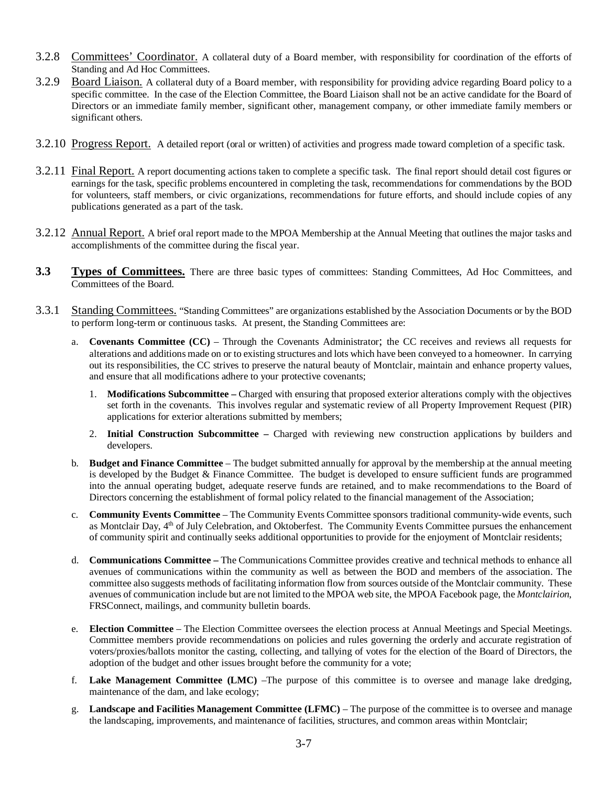- 3.2.8 Committees' Coordinator. A collateral duty of a Board member, with responsibility for coordination of the efforts of Standing and Ad Hoc Committees.
- 3.2.9 Board Liaison. A collateral duty of a Board member, with responsibility for providing advice regarding Board policy to a specific committee. In the case of the Election Committee, the Board Liaison shall not be an active candidate for the Board of Directors or an immediate family member, significant other, management company, or other immediate family members or significant others.
- 3.2.10 Progress Report. A detailed report (oral or written) of activities and progress made toward completion of a specific task.
- 3.2.11 Final Report. A report documenting actions taken to complete a specific task. The final report should detail cost figures or earnings for the task, specific problems encountered in completing the task, recommendations for commendations by the BOD for volunteers, staff members, or civic organizations, recommendations for future efforts, and should include copies of any publications generated as a part of the task.
- 3.2.12 Annual Report. A brief oral report made to the MPOA Membership at the Annual Meeting that outlines the major tasks and accomplishments of the committee during the fiscal year.
- **3.3 Types of Committees.** There are three basic types of committees: Standing Committees, Ad Hoc Committees, and Committees of the Board.
- 3.3.1 Standing Committees. "Standing Committees" are organizations established by the Association Documents or by the BOD to perform long-term or continuous tasks. At present, the Standing Committees are:
	- a. **Covenants Committee (CC)** Through the Covenants Administrator; the CC receives and reviews all requests for alterations and additions made on or to existing structures and lots which have been conveyed to a homeowner. In carrying out its responsibilities, the CC strives to preserve the natural beauty of Montclair, maintain and enhance property values, and ensure that all modifications adhere to your protective covenants;
		- 1. **Modifications Subcommittee –** Charged with ensuring that proposed exterior alterations comply with the objectives set forth in the covenants. This involves regular and systematic review of all Property Improvement Request (PIR) applications for exterior alterations submitted by members;
		- 2. **Initial Construction Subcommittee –** Charged with reviewing new construction applications by builders and developers.
	- b. **Budget and Finance Committee** The budget submitted annually for approval by the membership at the annual meeting is developed by the Budget & Finance Committee. The budget is developed to ensure sufficient funds are programmed into the annual operating budget, adequate reserve funds are retained, and to make recommendations to the Board of Directors concerning the establishment of formal policy related to the financial management of the Association;
	- c. **Community Events Committee** The Community Events Committee sponsors traditional community-wide events, such as Montclair Day,  $4<sup>th</sup>$  of July Celebration, and Oktoberfest. The Community Events Committee pursues the enhancement of community spirit and continually seeks additional opportunities to provide for the enjoyment of Montclair residents;
	- d. **Communications Committee –** The Communications Committee provides creative and technical methods to enhance all avenues of communications within the community as well as between the BOD and members of the association. The committee also suggests methods of facilitating information flow from sources outside of the Montclair community. These avenues of communication include but are not limited to the MPOA web site, the MPOA Facebook page, the *Montclairion*, FRSConnect, mailings, and community bulletin boards.
	- e. **Election Committee**  The Election Committee oversees the election process at Annual Meetings and Special Meetings. Committee members provide recommendations on policies and rules governing the orderly and accurate registration of voters/proxies/ballots monitor the casting, collecting, and tallying of votes for the election of the Board of Directors, the adoption of the budget and other issues brought before the community for a vote;
	- f. **Lake Management Committee (LMC)** –The purpose of this committee is to oversee and manage lake dredging, maintenance of the dam, and lake ecology;
	- g. **Landscape and Facilities Management Committee (LFMC)** The purpose of the committee is to oversee and manage the landscaping, improvements, and maintenance of facilities, structures, and common areas within Montclair;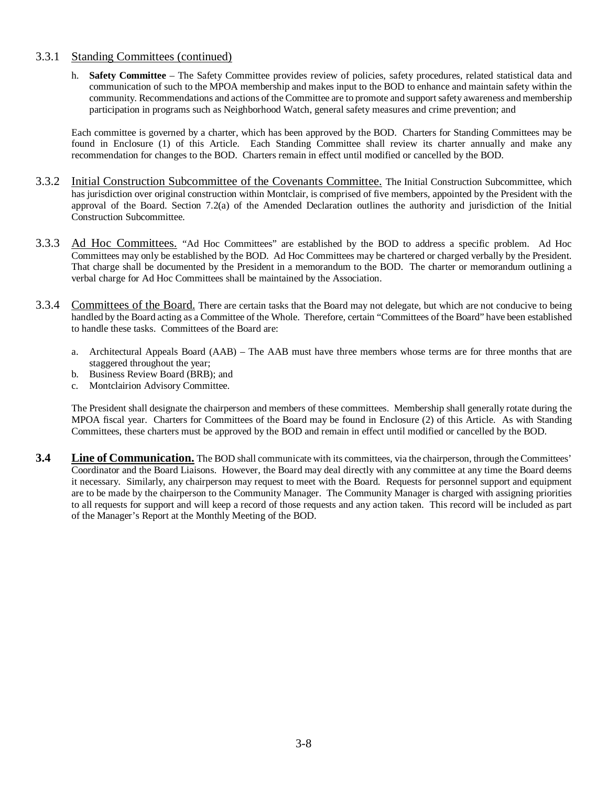### 3.3.1 Standing Committees (continued)

h. **Safety Committee** – The Safety Committee provides review of policies, safety procedures, related statistical data and communication of such to the MPOA membership and makes input to the BOD to enhance and maintain safety within the community. Recommendations and actions of the Committee are to promote and support safety awareness and membership participation in programs such as Neighborhood Watch, general safety measures and crime prevention; and

Each committee is governed by a charter, which has been approved by the BOD. Charters for Standing Committees may be found in Enclosure (1) of this Article. Each Standing Committee shall review its charter annually and make any recommendation for changes to the BOD. Charters remain in effect until modified or cancelled by the BOD.

- 3.3.2 Initial Construction Subcommittee of the Covenants Committee. The Initial Construction Subcommittee, which has jurisdiction over original construction within Montclair, is comprised of five members, appointed by the President with the approval of the Board. Section 7.2(a) of the Amended Declaration outlines the authority and jurisdiction of the Initial Construction Subcommittee.
- 3.3.3 Ad Hoc Committees. "Ad Hoc Committees" are established by the BOD to address a specific problem. Ad Hoc Committees may only be established by the BOD. Ad Hoc Committees may be chartered or charged verbally by the President. That charge shall be documented by the President in a memorandum to the BOD. The charter or memorandum outlining a verbal charge for Ad Hoc Committees shall be maintained by the Association.
- 3.3.4 Committees of the Board. There are certain tasks that the Board may not delegate, but which are not conducive to being handled by the Board acting as a Committee of the Whole. Therefore, certain "Committees of the Board" have been established to handle these tasks. Committees of the Board are:
	- a. Architectural Appeals Board (AAB) The AAB must have three members whose terms are for three months that are staggered throughout the year;
	- b. Business Review Board (BRB); and
	- c. Montclairion Advisory Committee.

The President shall designate the chairperson and members of these committees. Membership shall generally rotate during the MPOA fiscal year. Charters for Committees of the Board may be found in Enclosure (2) of this Article. As with Standing Committees, these charters must be approved by the BOD and remain in effect until modified or cancelled by the BOD.

**3.4 Line of Communication.** The BOD shall communicate with its committees, via the chairperson, through the Committees' Coordinator and the Board Liaisons. However, the Board may deal directly with any committee at any time the Board deems it necessary. Similarly, any chairperson may request to meet with the Board. Requests for personnel support and equipment are to be made by the chairperson to the Community Manager. The Community Manager is charged with assigning priorities to all requests for support and will keep a record of those requests and any action taken. This record will be included as part of the Manager's Report at the Monthly Meeting of the BOD.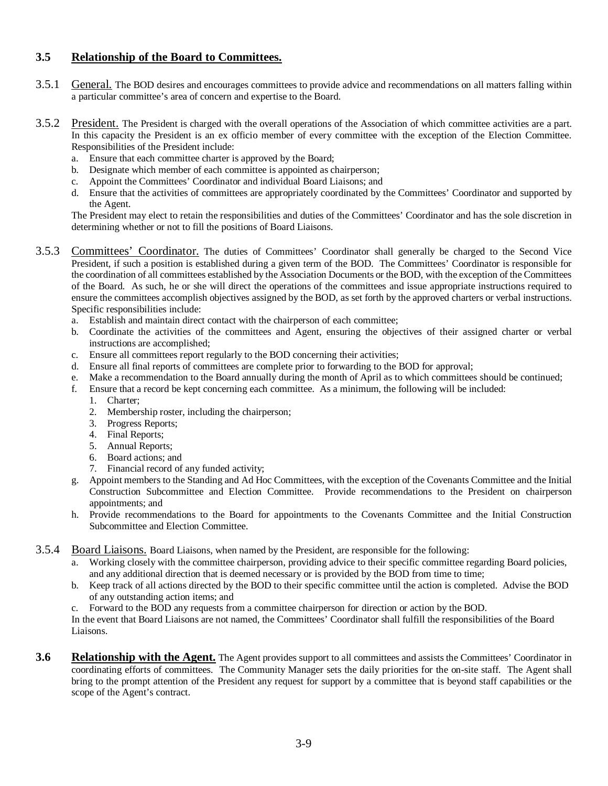### **3.5 Relationship of the Board to Committees.**

- 3.5.1 General. The BOD desires and encourages committees to provide advice and recommendations on all matters falling within a particular committee's area of concern and expertise to the Board.
- 3.5.2 President. The President is charged with the overall operations of the Association of which committee activities are a part. In this capacity the President is an ex officio member of every committee with the exception of the Election Committee. Responsibilities of the President include:
	- a. Ensure that each committee charter is approved by the Board;
	- b. Designate which member of each committee is appointed as chairperson;
	- c. Appoint the Committees' Coordinator and individual Board Liaisons; and
	- d. Ensure that the activities of committees are appropriately coordinated by the Committees' Coordinator and supported by the Agent.

The President may elect to retain the responsibilities and duties of the Committees' Coordinator and has the sole discretion in determining whether or not to fill the positions of Board Liaisons.

- 3.5.3 Committees' Coordinator. The duties of Committees' Coordinator shall generally be charged to the Second Vice President, if such a position is established during a given term of the BOD. The Committees' Coordinator is responsible for the coordination of all committees established by the Association Documents or the BOD, with the exception of the Committees of the Board. As such, he or she will direct the operations of the committees and issue appropriate instructions required to ensure the committees accomplish objectives assigned by the BOD, as set forth by the approved charters or verbal instructions. Specific responsibilities include:
	- a. Establish and maintain direct contact with the chairperson of each committee;
	- b. Coordinate the activities of the committees and Agent, ensuring the objectives of their assigned charter or verbal instructions are accomplished;
	- c. Ensure all committees report regularly to the BOD concerning their activities;
	- d. Ensure all final reports of committees are complete prior to forwarding to the BOD for approval;
	- e. Make a recommendation to the Board annually during the month of April as to which committees should be continued;
	- f. Ensure that a record be kept concerning each committee. As a minimum, the following will be included:
		- 1. Charter;
		- 2. Membership roster, including the chairperson;
		- 3. Progress Reports;
		- 4. Final Reports;
		- 5. Annual Reports;
		- 6. Board actions; and
		- 7. Financial record of any funded activity;
	- g. Appoint members to the Standing and Ad Hoc Committees, with the exception of the Covenants Committee and the Initial Construction Subcommittee and Election Committee. Provide recommendations to the President on chairperson appointments; and
	- h. Provide recommendations to the Board for appointments to the Covenants Committee and the Initial Construction Subcommittee and Election Committee.
- 3.5.4 Board Liaisons. Board Liaisons, when named by the President, are responsible for the following:
	- a. Working closely with the committee chairperson, providing advice to their specific committee regarding Board policies, and any additional direction that is deemed necessary or is provided by the BOD from time to time;
	- b. Keep track of all actions directed by the BOD to their specific committee until the action is completed. Advise the BOD of any outstanding action items; and
	- Forward to the BOD any requests from a committee chairperson for direction or action by the BOD.

In the event that Board Liaisons are not named, the Committees' Coordinator shall fulfill the responsibilities of the Board Liaisons.

**3.6 Relationship with the Agent.** The Agent provides support to all committees and assists the Committees' Coordinator in coordinating efforts of committees. The Community Manager sets the daily priorities for the on-site staff. The Agent shall bring to the prompt attention of the President any request for support by a committee that is beyond staff capabilities or the scope of the Agent's contract.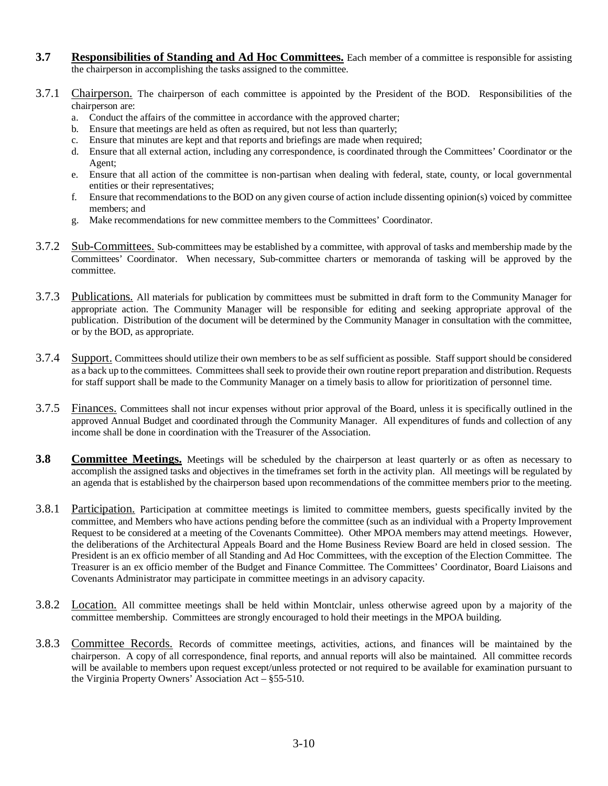- **3.7 Responsibilities of Standing and Ad Hoc Committees.** Each member of a committee is responsible for assisting the chairperson in accomplishing the tasks assigned to the committee.
- 3.7.1 Chairperson. The chairperson of each committee is appointed by the President of the BOD. Responsibilities of the chairperson are:
	- a. Conduct the affairs of the committee in accordance with the approved charter;
	- b. Ensure that meetings are held as often as required, but not less than quarterly;
	- c. Ensure that minutes are kept and that reports and briefings are made when required;
	- d. Ensure that all external action, including any correspondence, is coordinated through the Committees' Coordinator or the Agent;
	- e. Ensure that all action of the committee is non-partisan when dealing with federal, state, county, or local governmental entities or their representatives;
	- f. Ensure that recommendations to the BOD on any given course of action include dissenting opinion(s) voiced by committee members; and
	- g. Make recommendations for new committee members to the Committees' Coordinator.
- 3.7.2 Sub-Committees. Sub-committees may be established by a committee, with approval of tasks and membership made by the Committees' Coordinator. When necessary, Sub-committee charters or memoranda of tasking will be approved by the committee.
- 3.7.3 Publications. All materials for publication by committees must be submitted in draft form to the Community Manager for appropriate action. The Community Manager will be responsible for editing and seeking appropriate approval of the publication. Distribution of the document will be determined by the Community Manager in consultation with the committee, or by the BOD, as appropriate.
- 3.7.4 Support. Committees should utilize their own members to be as self sufficient as possible. Staff support should be considered as a back up to the committees. Committees shall seek to provide their own routine report preparation and distribution. Requests for staff support shall be made to the Community Manager on a timely basis to allow for prioritization of personnel time.
- 3.7.5 Finances. Committees shall not incur expenses without prior approval of the Board, unless it is specifically outlined in the approved Annual Budget and coordinated through the Community Manager. All expenditures of funds and collection of any income shall be done in coordination with the Treasurer of the Association.
- **3.8 Committee Meetings.** Meetings will be scheduled by the chairperson at least quarterly or as often as necessary to accomplish the assigned tasks and objectives in the timeframes set forth in the activity plan. All meetings will be regulated by an agenda that is established by the chairperson based upon recommendations of the committee members prior to the meeting.
- 3.8.1 Participation. Participation at committee meetings is limited to committee members, guests specifically invited by the committee, and Members who have actions pending before the committee (such as an individual with a Property Improvement Request to be considered at a meeting of the Covenants Committee). Other MPOA members may attend meetings. However, the deliberations of the Architectural Appeals Board and the Home Business Review Board are held in closed session. The President is an ex officio member of all Standing and Ad Hoc Committees, with the exception of the Election Committee. The Treasurer is an ex officio member of the Budget and Finance Committee. The Committees' Coordinator, Board Liaisons and Covenants Administrator may participate in committee meetings in an advisory capacity.
- 3.8.2 Location. All committee meetings shall be held within Montclair, unless otherwise agreed upon by a majority of the committee membership. Committees are strongly encouraged to hold their meetings in the MPOA building.
- 3.8.3 Committee Records. Records of committee meetings, activities, actions, and finances will be maintained by the chairperson. A copy of all correspondence, final reports, and annual reports will also be maintained. All committee records will be available to members upon request except/unless protected or not required to be available for examination pursuant to the Virginia Property Owners' Association Act – §55-510.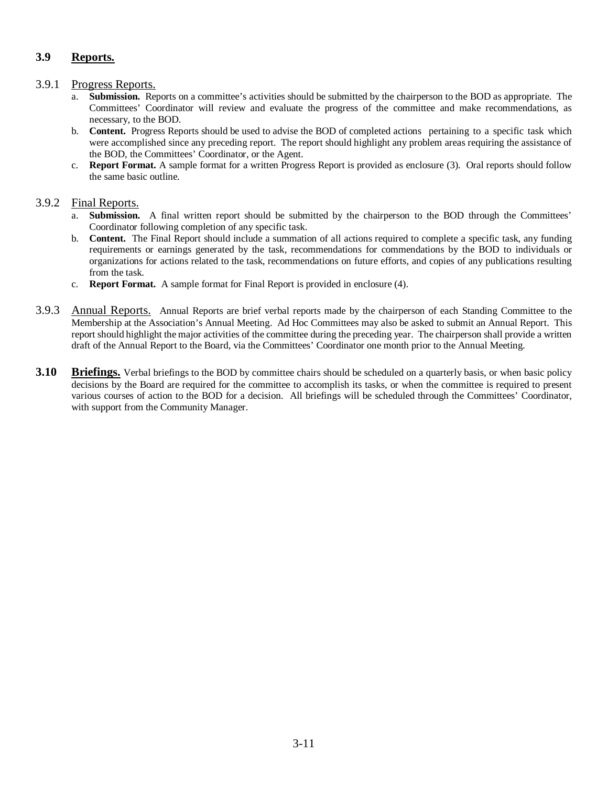### **3.9 Reports.**

### 3.9.1 Progress Reports.

- a. **Submission.** Reports on a committee's activities should be submitted by the chairperson to the BOD as appropriate. The Committees' Coordinator will review and evaluate the progress of the committee and make recommendations, as necessary, to the BOD.
- b. **Content.** Progress Reports should be used to advise the BOD of completed actions pertaining to a specific task which were accomplished since any preceding report. The report should highlight any problem areas requiring the assistance of the BOD, the Committees' Coordinator, or the Agent.
- c. **Report Format.** A sample format for a written Progress Report is provided as enclosure (3). Oral reports should follow the same basic outline.

### 3.9.2 Final Reports.

- Submission. A final written report should be submitted by the chairperson to the BOD through the Committees' Coordinator following completion of any specific task.
- b. **Content.** The Final Report should include a summation of all actions required to complete a specific task, any funding requirements or earnings generated by the task, recommendations for commendations by the BOD to individuals or organizations for actions related to the task, recommendations on future efforts, and copies of any publications resulting from the task.
- c. **Report Format.** A sample format for Final Report is provided in enclosure (4).
- 3.9.3 Annual Reports. Annual Reports are brief verbal reports made by the chairperson of each Standing Committee to the Membership at the Association's Annual Meeting. Ad Hoc Committees may also be asked to submit an Annual Report. This report should highlight the major activities of the committee during the preceding year. The chairperson shall provide a written draft of the Annual Report to the Board, via the Committees' Coordinator one month prior to the Annual Meeting.
- **3.10 Briefings.** Verbal briefings to the BOD by committee chairs should be scheduled on a quarterly basis, or when basic policy decisions by the Board are required for the committee to accomplish its tasks, or when the committee is required to present various courses of action to the BOD for a decision. All briefings will be scheduled through the Committees' Coordinator, with support from the Community Manager.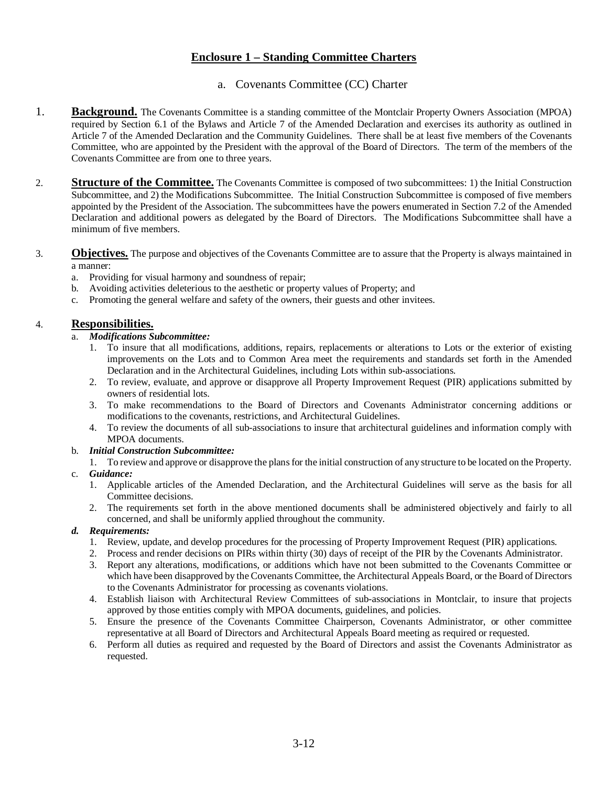### a. Covenants Committee (CC) Charter

- 1. **Background.** The Covenants Committee is a standing committee of the Montclair Property Owners Association (MPOA) required by Section 6.1 of the Bylaws and Article 7 of the Amended Declaration and exercises its authority as outlined in Article 7 of the Amended Declaration and the Community Guidelines. There shall be at least five members of the Covenants Committee, who are appointed by the President with the approval of the Board of Directors. The term of the members of the Covenants Committee are from one to three years.
- 2. **Structure of the Committee.** The Covenants Committee is composed of two subcommittees: 1) the Initial Construction Subcommittee, and 2) the Modifications Subcommittee. The Initial Construction Subcommittee is composed of five members appointed by the President of the Association. The subcommittees have the powers enumerated in Section 7.2 of the Amended Declaration and additional powers as delegated by the Board of Directors. The Modifications Subcommittee shall have a minimum of five members.
- 3. **Objectives.** The purpose and objectives of the Covenants Committee are to assure that the Property is always maintained in a manner:
	- a. Providing for visual harmony and soundness of repair;
	- b. Avoiding activities deleterious to the aesthetic or property values of Property; and
	- c. Promoting the general welfare and safety of the owners, their guests and other invitees.

### 4. **Responsibilities.**

#### a. *Modifications Subcommittee:*

- 1. To insure that all modifications, additions, repairs, replacements or alterations to Lots or the exterior of existing improvements on the Lots and to Common Area meet the requirements and standards set forth in the Amended Declaration and in the Architectural Guidelines, including Lots within sub-associations.
- 2. To review, evaluate, and approve or disapprove all Property Improvement Request (PIR) applications submitted by owners of residential lots.
- 3. To make recommendations to the Board of Directors and Covenants Administrator concerning additions or modifications to the covenants, restrictions, and Architectural Guidelines.
- 4. To review the documents of all sub-associations to insure that architectural guidelines and information comply with MPOA documents.

#### b. *Initial Construction Subcommittee:*

1. To review and approve or disapprove the plans for the initial construction of any structure to be located on the Property.

#### c. *Guidance:*

- 1. Applicable articles of the Amended Declaration, and the Architectural Guidelines will serve as the basis for all Committee decisions.
- 2. The requirements set forth in the above mentioned documents shall be administered objectively and fairly to all concerned, and shall be uniformly applied throughout the community.

#### *d. Requirements:*

- 1. Review, update, and develop procedures for the processing of Property Improvement Request (PIR) applications.
- 2. Process and render decisions on PIRs within thirty (30) days of receipt of the PIR by the Covenants Administrator.
- 3. Report any alterations, modifications, or additions which have not been submitted to the Covenants Committee or which have been disapproved by the Covenants Committee, the Architectural Appeals Board, or the Board of Directors to the Covenants Administrator for processing as covenants violations.
- 4. Establish liaison with Architectural Review Committees of sub-associations in Montclair, to insure that projects approved by those entities comply with MPOA documents, guidelines, and policies.
- 5. Ensure the presence of the Covenants Committee Chairperson, Covenants Administrator, or other committee representative at all Board of Directors and Architectural Appeals Board meeting as required or requested.
- 6. Perform all duties as required and requested by the Board of Directors and assist the Covenants Administrator as requested.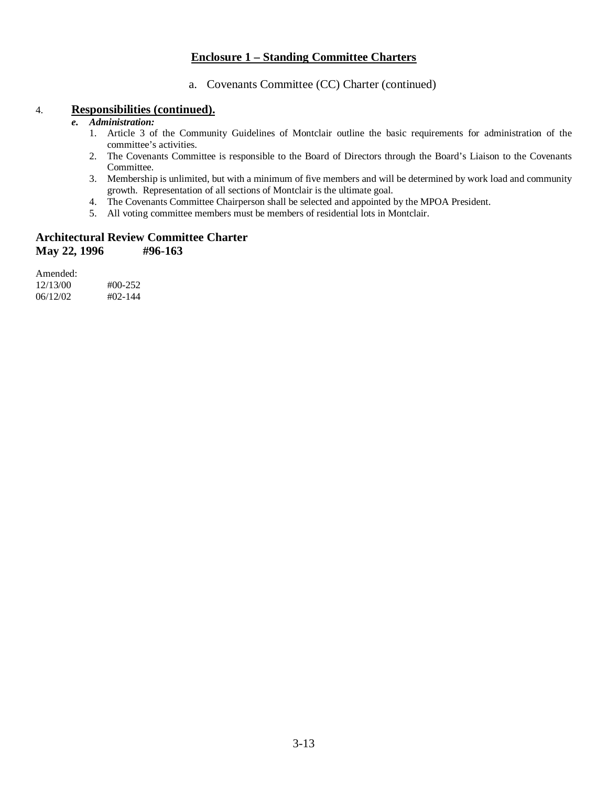a. Covenants Committee (CC) Charter (continued)

#### 4. **Responsibilities (continued).**

- *e. Administration:*
	- 1. Article 3 of the Community Guidelines of Montclair outline the basic requirements for administration of the committee's activities.
	- 2. The Covenants Committee is responsible to the Board of Directors through the Board's Liaison to the Covenants Committee.
	- 3. Membership is unlimited, but with a minimum of five members and will be determined by work load and community growth. Representation of all sections of Montclair is the ultimate goal.
	- 4. The Covenants Committee Chairperson shall be selected and appointed by the MPOA President.
	- 5. All voting committee members must be members of residential lots in Montclair.

### **Architectural Review Committee Charter May 22, 1996 #96-163**

Amended: 12/13/00 #00-252 06/12/02 #02-144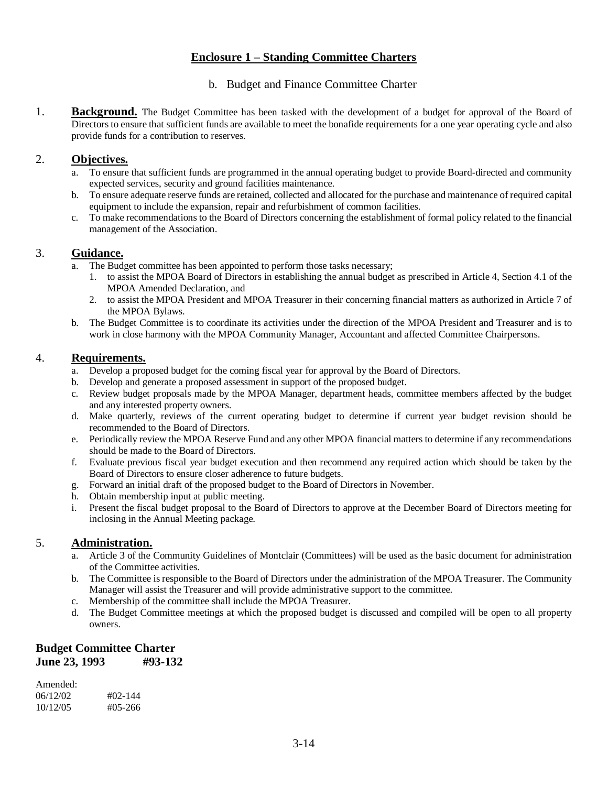### b. Budget and Finance Committee Charter

1. **Background.** The Budget Committee has been tasked with the development of a budget for approval of the Board of Directors to ensure that sufficient funds are available to meet the bonafide requirements for a one year operating cycle and also provide funds for a contribution to reserves.

#### 2. **Objectives.**

- a. To ensure that sufficient funds are programmed in the annual operating budget to provide Board-directed and community expected services, security and ground facilities maintenance.
- b. To ensure adequate reserve funds are retained, collected and allocated for the purchase and maintenance of required capital equipment to include the expansion, repair and refurbishment of common facilities.
- c. To make recommendations to the Board of Directors concerning the establishment of formal policy related to the financial management of the Association.

### 3. **Guidance.**

- a. The Budget committee has been appointed to perform those tasks necessary;
	- 1. to assist the MPOA Board of Directors in establishing the annual budget as prescribed in Article 4, Section 4.1 of the MPOA Amended Declaration, and
	- 2. to assist the MPOA President and MPOA Treasurer in their concerning financial matters as authorized in Article 7 of the MPOA Bylaws.
- b. The Budget Committee is to coordinate its activities under the direction of the MPOA President and Treasurer and is to work in close harmony with the MPOA Community Manager, Accountant and affected Committee Chairpersons.

### 4. **Requirements.**

- a. Develop a proposed budget for the coming fiscal year for approval by the Board of Directors.
- b. Develop and generate a proposed assessment in support of the proposed budget.
- c. Review budget proposals made by the MPOA Manager, department heads, committee members affected by the budget and any interested property owners.
- d. Make quarterly, reviews of the current operating budget to determine if current year budget revision should be recommended to the Board of Directors.
- e. Periodically review the MPOA Reserve Fund and any other MPOA financial matters to determine if any recommendations should be made to the Board of Directors.
- f. Evaluate previous fiscal year budget execution and then recommend any required action which should be taken by the Board of Directors to ensure closer adherence to future budgets.
- g. Forward an initial draft of the proposed budget to the Board of Directors in November.
- h. Obtain membership input at public meeting.
- i. Present the fiscal budget proposal to the Board of Directors to approve at the December Board of Directors meeting for inclosing in the Annual Meeting package.

#### 5. **Administration.**

- a. Article 3 of the Community Guidelines of Montclair (Committees) will be used as the basic document for administration of the Committee activities.
- b. The Committee is responsible to the Board of Directors under the administration of the MPOA Treasurer. The Community Manager will assist the Treasurer and will provide administrative support to the committee.
- c. Membership of the committee shall include the MPOA Treasurer.
- d. The Budget Committee meetings at which the proposed budget is discussed and compiled will be open to all property owners.

### **Budget Committee Charter June 23, 1993 #93-132**

| Amended: |                     |
|----------|---------------------|
| 06/12/02 | $\text{\#}02 - 144$ |
| 10/12/05 | $\text{\#}05 - 266$ |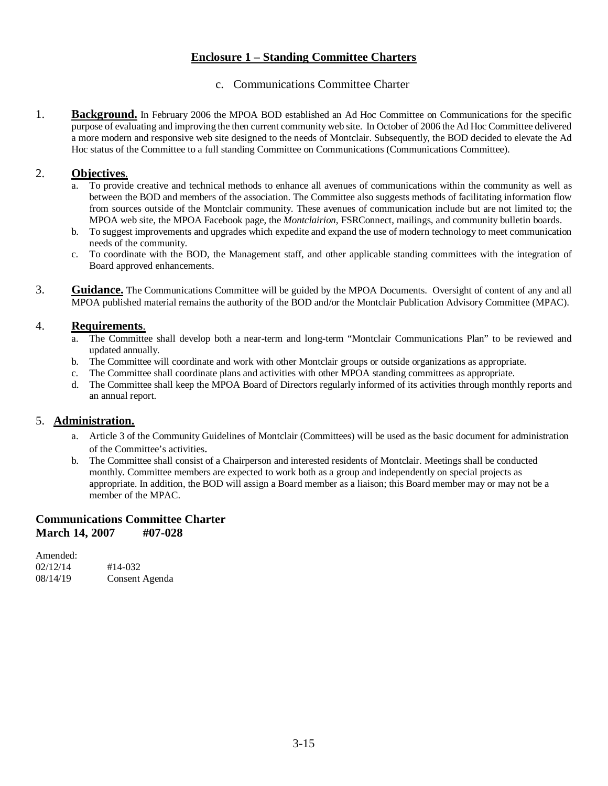### c. Communications Committee Charter

1. **Background.** In February 2006 the MPOA BOD established an Ad Hoc Committee on Communications for the specific purpose of evaluating and improving the then current community web site. In October of 2006 the Ad Hoc Committee delivered a more modern and responsive web site designed to the needs of Montclair. Subsequently, the BOD decided to elevate the Ad Hoc status of the Committee to a full standing Committee on Communications (Communications Committee).

### 2. **Objectives**.

- a. To provide creative and technical methods to enhance all avenues of communications within the community as well as between the BOD and members of the association. The Committee also suggests methods of facilitating information flow from sources outside of the Montclair community. These avenues of communication include but are not limited to; the MPOA web site, the MPOA Facebook page, the *Montclairion*, FSRConnect, mailings, and community bulletin boards.
- b. To suggest improvements and upgrades which expedite and expand the use of modern technology to meet communication needs of the community.
- c. To coordinate with the BOD, the Management staff, and other applicable standing committees with the integration of Board approved enhancements.
- 3. **Guidance.** The Communications Committee will be guided by the MPOA Documents. Oversight of content of any and all MPOA published material remains the authority of the BOD and/or the Montclair Publication Advisory Committee (MPAC).

#### 4. **Requirements**.

- a. The Committee shall develop both a near-term and long-term "Montclair Communications Plan" to be reviewed and updated annually.
- b. The Committee will coordinate and work with other Montclair groups or outside organizations as appropriate.
- c. The Committee shall coordinate plans and activities with other MPOA standing committees as appropriate.
- d. The Committee shall keep the MPOA Board of Directors regularly informed of its activities through monthly reports and an annual report.

#### 5. **Administration.**

- a. Article 3 of the Community Guidelines of Montclair (Committees) will be used as the basic document for administration of the Committee's activities.
- b. The Committee shall consist of a Chairperson and interested residents of Montclair. Meetings shall be conducted monthly. Committee members are expected to work both as a group and independently on special projects as appropriate. In addition, the BOD will assign a Board member as a liaison; this Board member may or may not be a member of the MPAC.

### **Communications Committee Charter March 14, 2007 #07-028**

Amended: 02/12/14 #14-032 08/14/19 Consent Agenda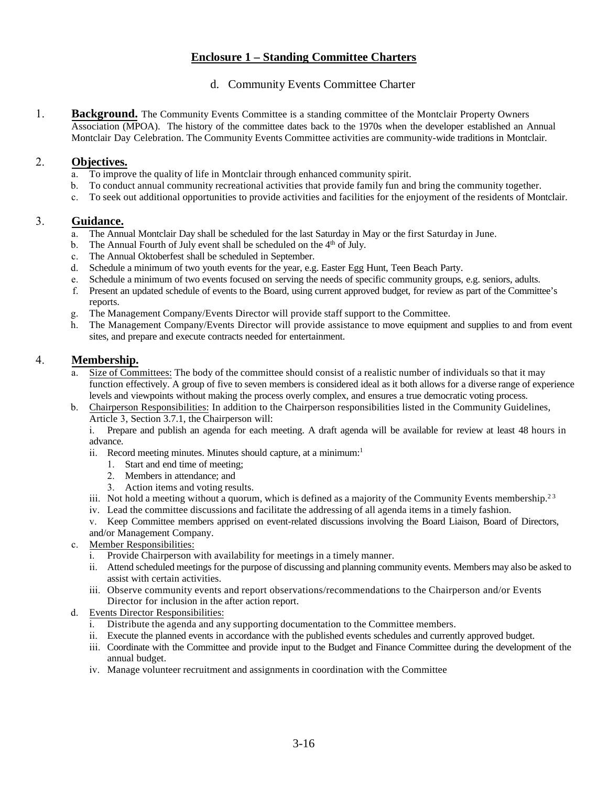### d. Community Events Committee Charter

1. **Background.** The Community Events Committee is a standing committee of the Montclair Property Owners Association (MPOA). The history of the committee dates back to the 1970s when the developer established an Annual Montclair Day Celebration. The Community Events Committee activities are community-wide traditions in Montclair.

### 2. **Objectives.**

- a. To improve the quality of life in Montclair through enhanced community spirit.
- b. To conduct annual community recreational activities that provide family fun and bring the community together.
- c. To seek out additional opportunities to provide activities and facilities for the enjoyment of the residents of Montclair.

#### 3. **Guidance.**

- a. The Annual Montclair Day shall be scheduled for the last Saturday in May or the first Saturday in June.
- b. The Annual Fourth of July event shall be scheduled on the 4<sup>th</sup> of July.
- c. The Annual Oktoberfest shall be scheduled in September.
- d. Schedule a minimum of two youth events for the year, e.g. Easter Egg Hunt, Teen Beach Party.
- e. Schedule a minimum of two events focused on serving the needs of specific community groups, e.g. seniors, adults.
- f. Present an updated schedule of events to the Board, using current approved budget, for review as part of the Committee's reports.
- g. The Management Company/Events Director will provide staff support to the Committee.
- h. The Management Company/Events Director will provide assistance to move equipment and supplies to and from event sites, and prepare and execute contracts needed for entertainment.

### 4. **Membership.**

- Size of Committees: The body of the committee should consist of a realistic number of individuals so that it may function effectively. A group of five to seven members is considered ideal as it both allows for a diverse range of experience levels and viewpoints without making the process overly complex, and ensures a true democratic voting process.
- b. Chairperson Responsibilities: In addition to the Chairperson responsibilities listed in the Community Guidelines, Article 3, Section 3.7.1, the Chairperson will:

i. Prepare and publish an agenda for each meeting. A draft agenda will be available for review at least 48 hours in advance.

- ii. Record meeting minutes. Minutes should capture, at a minimum:<sup>1</sup>
	- 1. Start and end time of meeting;
	- 2. Members in attendance; and
	- 3. Action items and voting results.
- iii. Not hold a meeting without a quorum, which is defined as a majority of the Community Events membership.<sup>23</sup>
- iv. Lead the committee discussions and facilitate the addressing of all agenda items in a timely fashion.
- v. Keep Committee members apprised on event-related discussions involving the Board Liaison, Board of Directors, and/or Management Company.
- c. Member Responsibilities:
	- i. Provide Chairperson with availability for meetings in a timely manner.
	- ii. Attend scheduled meetings for the purpose of discussing and planning community events. Members may also be asked to assist with certain activities.
	- iii. Observe community events and report observations/recommendations to the Chairperson and/or Events Director for inclusion in the after action report.
- d. Events Director Responsibilities:
	- i. Distribute the agenda and any supporting documentation to the Committee members.
	- ii. Execute the planned events in accordance with the published events schedules and currently approved budget.
	- iii. Coordinate with the Committee and provide input to the Budget and Finance Committee during the development of the annual budget.
	- iv. Manage volunteer recruitment and assignments in coordination with the Committee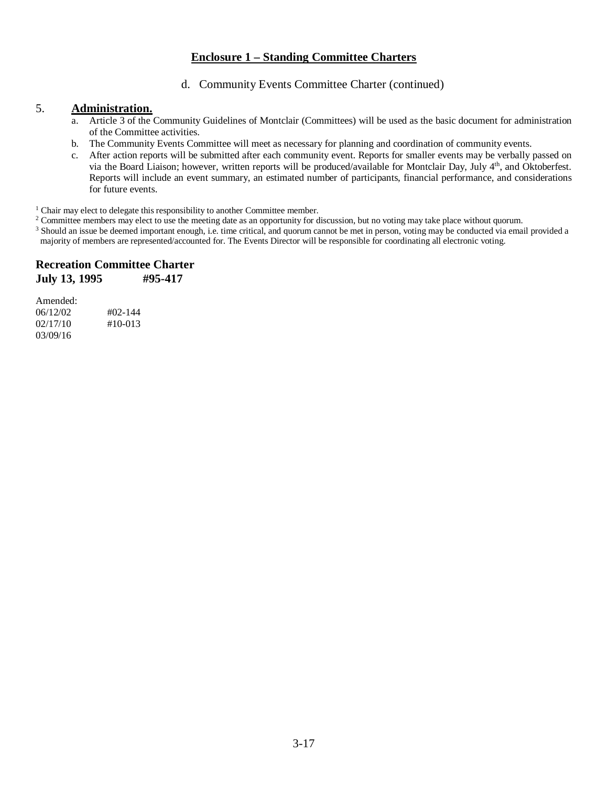### d. Community Events Committee Charter (continued)

#### 5. **Administration.**

- a. Article 3 of the Community Guidelines of Montclair (Committees) will be used as the basic document for administration of the Committee activities.
- b. The Community Events Committee will meet as necessary for planning and coordination of community events.
- c. After action reports will be submitted after each community event. Reports for smaller events may be verbally passed on via the Board Liaison; however, written reports will be produced/available for Montclair Day, July 4th, and Oktoberfest. Reports will include an event summary, an estimated number of participants, financial performance, and considerations for future events.

<sup>1</sup> Chair may elect to delegate this responsibility to another Committee member.

- <sup>2</sup> Committee members may elect to use the meeting date as an opportunity for discussion, but no voting may take place without quorum.
- <sup>3</sup> Should an issue be deemed important enough, i.e. time critical, and quorum cannot be met in person, voting may be conducted via email provided a majority of members are represented/accounted for. The Events Director will be responsible for coordinating all electronic voting.

### **Recreation Committee Charter July 13, 1995 #95-417**

| Amended: |              |
|----------|--------------|
| 06/12/02 | $\#02 - 144$ |
| 02/17/10 | $#10-013$    |
| 03/09/16 |              |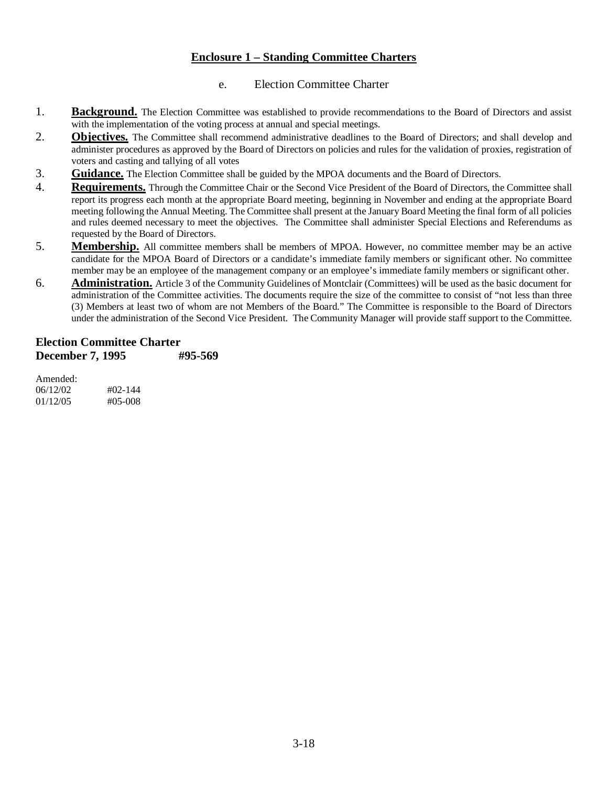### e. Election Committee Charter

- 1. **Background.** The Election Committee was established to provide recommendations to the Board of Directors and assist with the implementation of the voting process at annual and special meetings.
- 2. **Objectives.** The Committee shall recommend administrative deadlines to the Board of Directors; and shall develop and administer procedures as approved by the Board of Directors on policies and rules for the validation of proxies, registration of voters and casting and tallying of all votes
- 3. **Guidance.** The Election Committee shall be guided by the MPOA documents and the Board of Directors.
- 4. **Requirements.** Through the Committee Chair or the Second Vice President of the Board of Directors, the Committee shall report its progress each month at the appropriate Board meeting, beginning in November and ending at the appropriate Board meeting following the Annual Meeting. The Committee shall present at the January Board Meeting the final form of all policies and rules deemed necessary to meet the objectives. The Committee shall administer Special Elections and Referendums as requested by the Board of Directors.
- 5. **Membership.** All committee members shall be members of MPOA. However, no committee member may be an active candidate for the MPOA Board of Directors or a candidate's immediate family members or significant other. No committee member may be an employee of the management company or an employee's immediate family members or significant other.
- 6. **Administration.** Article 3 of the Community Guidelines of Montclair (Committees) will be used as the basic document for administration of the Committee activities. The documents require the size of the committee to consist of "not less than three (3) Members at least two of whom are not Members of the Board." The Committee is responsible to the Board of Directors under the administration of the Second Vice President. The Community Manager will provide staff support to the Committee.

### **Election Committee Charter December 7, 1995 #95-569**

Amended: 06/12/02 #02-144 01/12/05 #05-008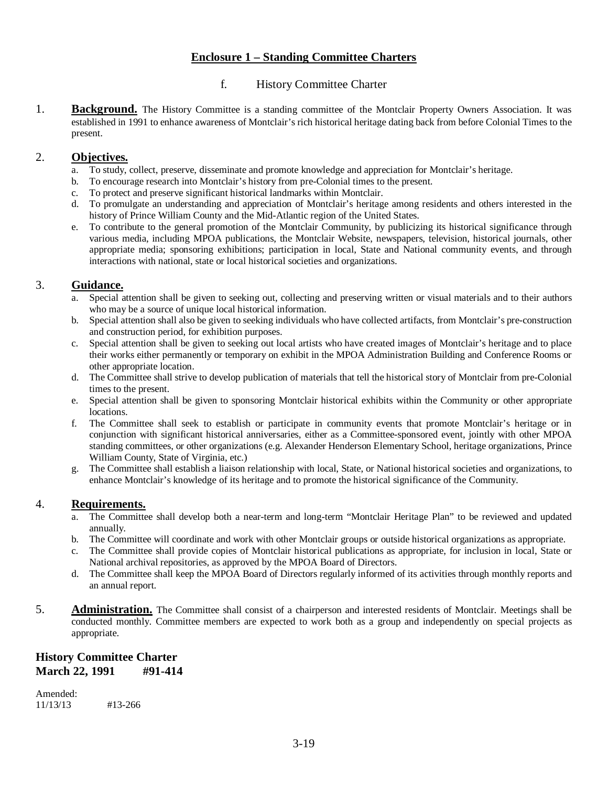### f. History Committee Charter

1. **Background.** The History Committee is a standing committee of the Montclair Property Owners Association. It was established in 1991 to enhance awareness of Montclair's rich historical heritage dating back from before Colonial Times to the present.

### 2. **Objectives.**

- a. To study, collect, preserve, disseminate and promote knowledge and appreciation for Montclair's heritage.
- b. To encourage research into Montclair's history from pre-Colonial times to the present.
- c. To protect and preserve significant historical landmarks within Montclair.
- d. To promulgate an understanding and appreciation of Montclair's heritage among residents and others interested in the history of Prince William County and the Mid-Atlantic region of the United States.
- e. To contribute to the general promotion of the Montclair Community, by publicizing its historical significance through various media, including MPOA publications, the Montclair Website, newspapers, television, historical journals, other appropriate media; sponsoring exhibitions; participation in local, State and National community events, and through interactions with national, state or local historical societies and organizations.

### 3. **Guidance.**

- a. Special attention shall be given to seeking out, collecting and preserving written or visual materials and to their authors who may be a source of unique local historical information.
- b. Special attention shall also be given to seeking individuals who have collected artifacts, from Montclair's pre-construction and construction period, for exhibition purposes.
- c. Special attention shall be given to seeking out local artists who have created images of Montclair's heritage and to place their works either permanently or temporary on exhibit in the MPOA Administration Building and Conference Rooms or other appropriate location.
- d. The Committee shall strive to develop publication of materials that tell the historical story of Montclair from pre-Colonial times to the present.
- e. Special attention shall be given to sponsoring Montclair historical exhibits within the Community or other appropriate locations.
- f. The Committee shall seek to establish or participate in community events that promote Montclair's heritage or in conjunction with significant historical anniversaries, either as a Committee-sponsored event, jointly with other MPOA standing committees, or other organizations (e.g. Alexander Henderson Elementary School, heritage organizations, Prince William County, State of Virginia, etc.)
- g. The Committee shall establish a liaison relationship with local, State, or National historical societies and organizations, to enhance Montclair's knowledge of its heritage and to promote the historical significance of the Community.

#### 4. **Requirements.**

- a. The Committee shall develop both a near-term and long-term "Montclair Heritage Plan" to be reviewed and updated annually.
- b. The Committee will coordinate and work with other Montclair groups or outside historical organizations as appropriate.
- c. The Committee shall provide copies of Montclair historical publications as appropriate, for inclusion in local, State or National archival repositories, as approved by the MPOA Board of Directors.
- d. The Committee shall keep the MPOA Board of Directors regularly informed of its activities through monthly reports and an annual report.
- 5. **Administration.** The Committee shall consist of a chairperson and interested residents of Montclair. Meetings shall be conducted monthly. Committee members are expected to work both as a group and independently on special projects as appropriate.

### **History Committee Charter March 22, 1991 #91-414**

Amended: 11/13/13 #13-266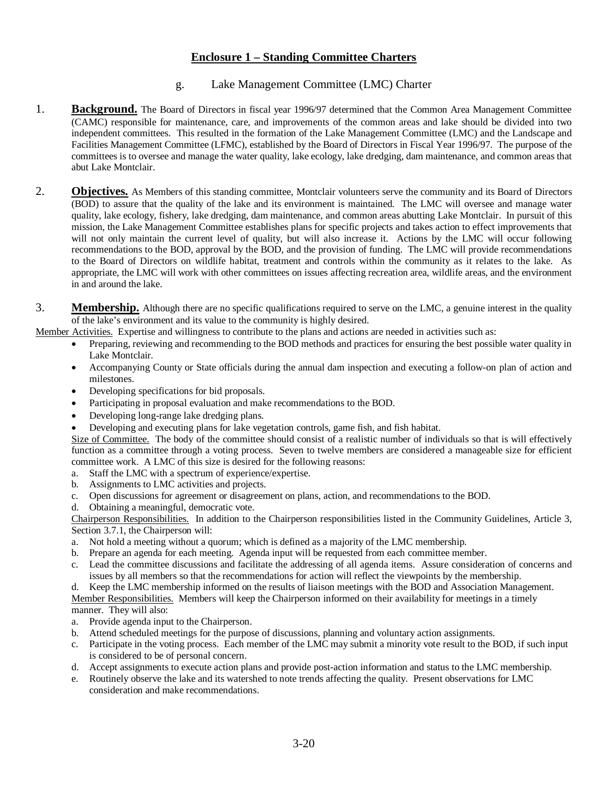### g. Lake Management Committee (LMC) Charter

- 1. **Background.** The Board of Directors in fiscal year 1996/97 determined that the Common Area Management Committee (CAMC) responsible for maintenance, care, and improvements of the common areas and lake should be divided into two independent committees. This resulted in the formation of the Lake Management Committee (LMC) and the Landscape and Facilities Management Committee (LFMC), established by the Board of Directors in Fiscal Year 1996/97. The purpose of the committees is to oversee and manage the water quality, lake ecology, lake dredging, dam maintenance, and common areas that abut Lake Montclair.
- 2. **Objectives.** As Members of this standing committee, Montclair volunteers serve the community and its Board of Directors (BOD) to assure that the quality of the lake and its environment is maintained. The LMC will oversee and manage water quality, lake ecology, fishery, lake dredging, dam maintenance, and common areas abutting Lake Montclair. In pursuit of this mission, the Lake Management Committee establishes plans for specific projects and takes action to effect improvements that will not only maintain the current level of quality, but will also increase it. Actions by the LMC will occur following recommendations to the BOD, approval by the BOD, and the provision of funding. The LMC will provide recommendations to the Board of Directors on wildlife habitat, treatment and controls within the community as it relates to the lake. As appropriate, the LMC will work with other committees on issues affecting recreation area, wildlife areas, and the environment in and around the lake.
- 3. **Membership.** Although there are no specific qualifications required to serve on the LMC, a genuine interest in the quality of the lake's environment and its value to the community is highly desired.

Member Activities. Expertise and willingness to contribute to the plans and actions are needed in activities such as:

- Preparing, reviewing and recommending to the BOD methods and practices for ensuring the best possible water quality in Lake Montclair.
- Accompanying County or State officials during the annual dam inspection and executing a follow-on plan of action and milestones.
- Developing specifications for bid proposals.
- Participating in proposal evaluation and make recommendations to the BOD.
- Developing long-range lake dredging plans.
- Developing and executing plans for lake vegetation controls, game fish, and fish habitat.

Size of Committee. The body of the committee should consist of a realistic number of individuals so that is will effectively function as a committee through a voting process. Seven to twelve members are considered a manageable size for efficient committee work. A LMC of this size is desired for the following reasons:

- a. Staff the LMC with a spectrum of experience/expertise.
- b. Assignments to LMC activities and projects.
- c. Open discussions for agreement or disagreement on plans, action, and recommendations to the BOD.
- d. Obtaining a meaningful, democratic vote.

Chairperson Responsibilities. In addition to the Chairperson responsibilities listed in the Community Guidelines, Article 3, Section 3.7.1, the Chairperson will:

- a. Not hold a meeting without a quorum; which is defined as a majority of the LMC membership.
- b. Prepare an agenda for each meeting. Agenda input will be requested from each committee member.
- c. Lead the committee discussions and facilitate the addressing of all agenda items. Assure consideration of concerns and issues by all members so that the recommendations for action will reflect the viewpoints by the membership.
- d. Keep the LMC membership informed on the results of liaison meetings with the BOD and Association Management. Member Responsibilities. Members will keep the Chairperson informed on their availability for meetings in a timely manner. They will also:
- a. Provide agenda input to the Chairperson.
- b. Attend scheduled meetings for the purpose of discussions, planning and voluntary action assignments.
- c. Participate in the voting process. Each member of the LMC may submit a minority vote result to the BOD, if such input is considered to be of personal concern.
- d. Accept assignments to execute action plans and provide post-action information and status to the LMC membership.
- e. Routinely observe the lake and its watershed to note trends affecting the quality. Present observations for LMC consideration and make recommendations.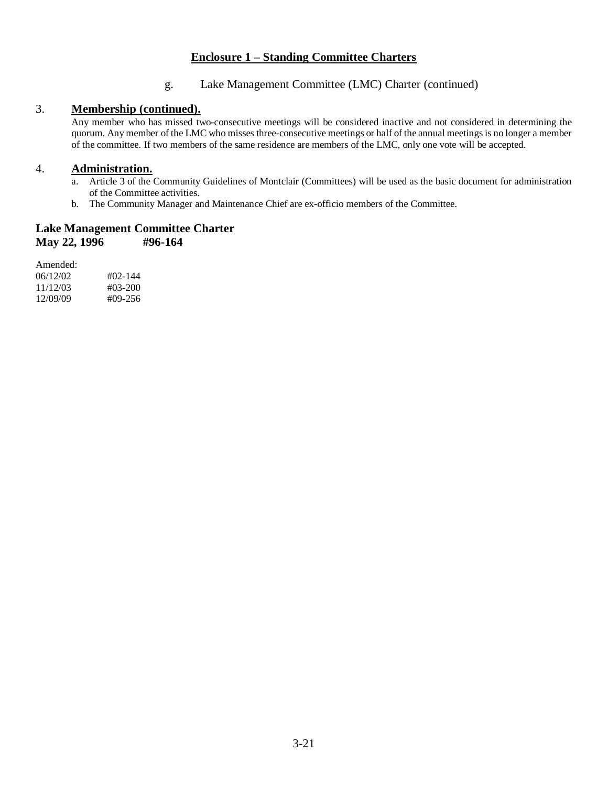g. Lake Management Committee (LMC) Charter (continued)

### 3. **Membership (continued).**

Any member who has missed two-consecutive meetings will be considered inactive and not considered in determining the quorum. Any member of the LMC who misses three-consecutive meetings or half of the annual meetings is no longer a member of the committee. If two members of the same residence are members of the LMC, only one vote will be accepted.

#### 4. **Administration.**

- a. Article 3 of the Community Guidelines of Montclair (Committees) will be used as the basic document for administration of the Committee activities.
- b. The Community Manager and Maintenance Chief are ex-officio members of the Committee.

### **Lake Management Committee Charter May 22, 1996 #96-164**

Amended:<br> $06/12/02$  $#02 - 144$ 11/12/03 #03-200 12/09/09 #09-256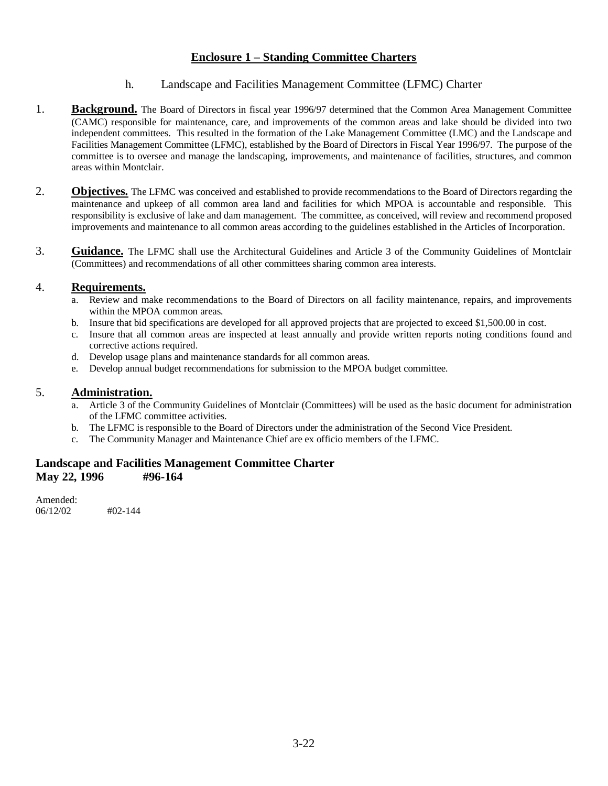### h. Landscape and Facilities Management Committee (LFMC) Charter

- 1. **Background.** The Board of Directors in fiscal year 1996/97 determined that the Common Area Management Committee (CAMC) responsible for maintenance, care, and improvements of the common areas and lake should be divided into two independent committees. This resulted in the formation of the Lake Management Committee (LMC) and the Landscape and Facilities Management Committee (LFMC), established by the Board of Directors in Fiscal Year 1996/97. The purpose of the committee is to oversee and manage the landscaping, improvements, and maintenance of facilities, structures, and common areas within Montclair.
- 2. **Objectives.** The LFMC was conceived and established to provide recommendations to the Board of Directors regarding the maintenance and upkeep of all common area land and facilities for which MPOA is accountable and responsible. This responsibility is exclusive of lake and dam management. The committee, as conceived, will review and recommend proposed improvements and maintenance to all common areas according to the guidelines established in the Articles of Incorporation.
- 3. **Guidance.** The LFMC shall use the Architectural Guidelines and Article 3 of the Community Guidelines of Montclair (Committees) and recommendations of all other committees sharing common area interests.

#### 4. **Requirements.**

- a. Review and make recommendations to the Board of Directors on all facility maintenance, repairs, and improvements within the MPOA common areas.
- b. Insure that bid specifications are developed for all approved projects that are projected to exceed \$1,500.00 in cost.
- c. Insure that all common areas are inspected at least annually and provide written reports noting conditions found and corrective actions required.
- d. Develop usage plans and maintenance standards for all common areas.
- e. Develop annual budget recommendations for submission to the MPOA budget committee.

#### 5. **Administration.**

- a. Article 3 of the Community Guidelines of Montclair (Committees) will be used as the basic document for administration of the LFMC committee activities.
- b. The LFMC is responsible to the Board of Directors under the administration of the Second Vice President.
- c. The Community Manager and Maintenance Chief are ex officio members of the LFMC.

### **Landscape and Facilities Management Committee Charter May 22, 1996 #96-164**

Amended: 06/12/02 #02-144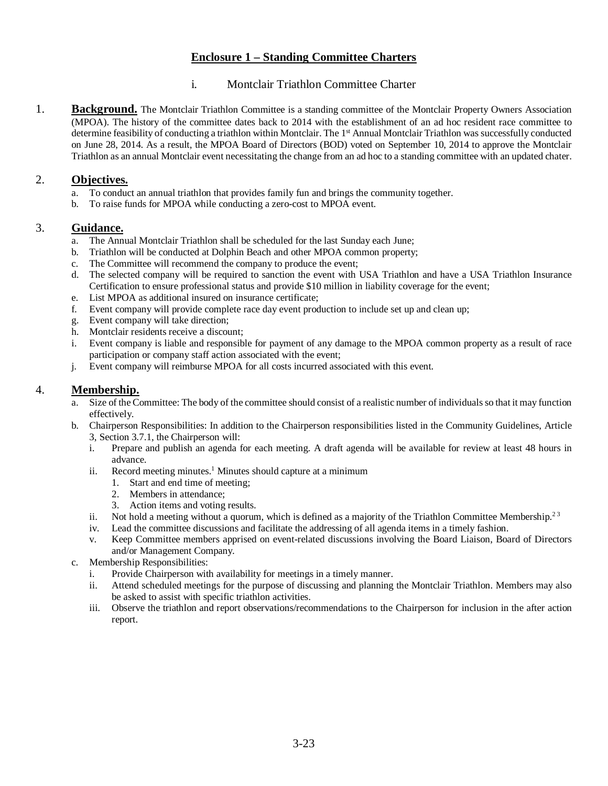### i. Montclair Triathlon Committee Charter

1. **Background.** The Montclair Triathlon Committee is a standing committee of the Montclair Property Owners Association (MPOA). The history of the committee dates back to 2014 with the establishment of an ad hoc resident race committee to determine feasibility of conducting a triathlon within Montclair. The 1<sup>st</sup> Annual Montclair Triathlon was successfully conducted on June 28, 2014. As a result, the MPOA Board of Directors (BOD) voted on September 10, 2014 to approve the Montclair Triathlon as an annual Montclair event necessitating the change from an ad hoc to a standing committee with an updated chater.

### 2. **Objectives.**

- a. To conduct an annual triathlon that provides family fun and brings the community together.
- b. To raise funds for MPOA while conducting a zero-cost to MPOA event.

#### 3. **Guidance.**

- a. The Annual Montclair Triathlon shall be scheduled for the last Sunday each June;
- b. Triathlon will be conducted at Dolphin Beach and other MPOA common property;
- c. The Committee will recommend the company to produce the event;
- d. The selected company will be required to sanction the event with USA Triathlon and have a USA Triathlon Insurance Certification to ensure professional status and provide \$10 million in liability coverage for the event;
- e. List MPOA as additional insured on insurance certificate;
- f. Event company will provide complete race day event production to include set up and clean up;
- g. Event company will take direction;
- h. Montclair residents receive a discount;
- i. Event company is liable and responsible for payment of any damage to the MPOA common property as a result of race participation or company staff action associated with the event;
- j. Event company will reimburse MPOA for all costs incurred associated with this event.

### 4. **Membership.**

- a. Size of the Committee: The body of the committee should consist of a realistic number of individuals so that it may function effectively.
- b. Chairperson Responsibilities: In addition to the Chairperson responsibilities listed in the Community Guidelines, Article 3, Section 3.7.1, the Chairperson will:
	- i. Prepare and publish an agenda for each meeting. A draft agenda will be available for review at least 48 hours in advance.
	- ii. Record meeting minutes.<sup>1</sup> Minutes should capture at a minimum
		- 1. Start and end time of meeting;
		- 2. Members in attendance;
		- 3. Action items and voting results.
	- ii. Not hold a meeting without a quorum, which is defined as a majority of the Triathlon Committee Membership.<sup>23</sup>
	- iv. Lead the committee discussions and facilitate the addressing of all agenda items in a timely fashion.
	- v. Keep Committee members apprised on event-related discussions involving the Board Liaison, Board of Directors and/or Management Company.
- c. Membership Responsibilities:
	- i. Provide Chairperson with availability for meetings in a timely manner.
	- ii. Attend scheduled meetings for the purpose of discussing and planning the Montclair Triathlon. Members may also be asked to assist with specific triathlon activities.
	- iii. Observe the triathlon and report observations/recommendations to the Chairperson for inclusion in the after action report.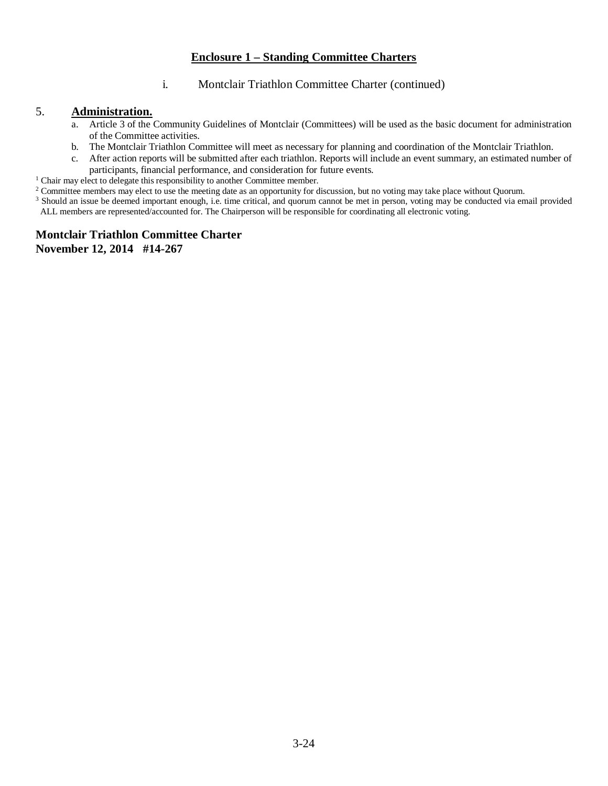### i. Montclair Triathlon Committee Charter (continued)

#### 5. **Administration.**

- a. Article 3 of the Community Guidelines of Montclair (Committees) will be used as the basic document for administration of the Committee activities.
- b. The Montclair Triathlon Committee will meet as necessary for planning and coordination of the Montclair Triathlon.
- c. After action reports will be submitted after each triathlon. Reports will include an event summary, an estimated number of participants, financial performance, and consideration for future events.
- <sup>1</sup> Chair may elect to delegate this responsibility to another Committee member.

<sup>2</sup> Committee members may elect to use the meeting date as an opportunity for discussion, but no voting may take place without Quorum.

<sup>3</sup> Should an issue be deemed important enough, i.e. time critical, and quorum cannot be met in person, voting may be conducted via email provided ALL members are represented/accounted for. The Chairperson will be responsible for coordinating all electronic voting.

### **Montclair Triathlon Committee Charter November 12, 2014 #14-267**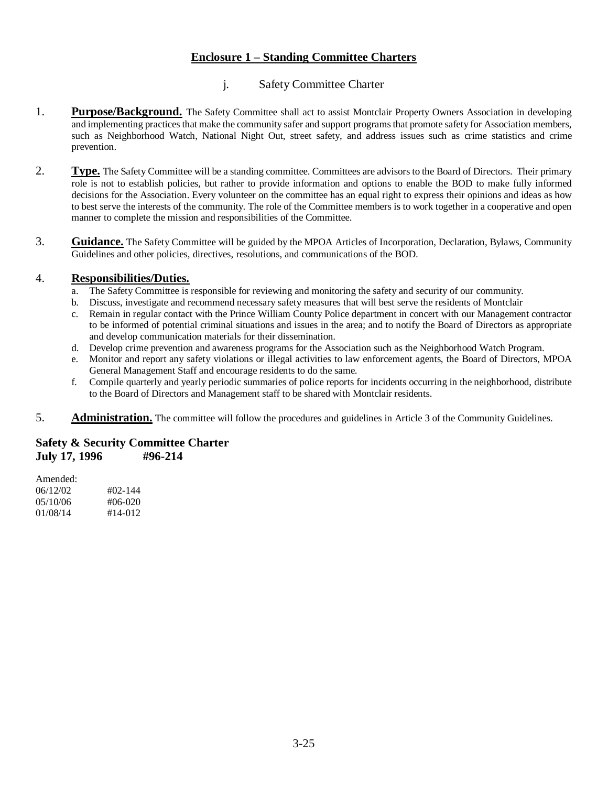### j. Safety Committee Charter

- 1. **Purpose/Background.** The Safety Committee shall act to assist Montclair Property Owners Association in developing and implementing practices that make the community safer and support programs that promote safety for Association members, such as Neighborhood Watch, National Night Out, street safety, and address issues such as crime statistics and crime prevention.
- 2. Type. The Safety Committee will be a standing committee. Committees are advisors to the Board of Directors. Their primary role is not to establish policies, but rather to provide information and options to enable the BOD to make fully informed decisions for the Association. Every volunteer on the committee has an equal right to express their opinions and ideas as how to best serve the interests of the community. The role of the Committee members is to work together in a cooperative and open manner to complete the mission and responsibilities of the Committee.
- 3. **Guidance.** The Safety Committee will be guided by the MPOA Articles of Incorporation, Declaration, Bylaws, Community Guidelines and other policies, directives, resolutions, and communications of the BOD.

#### 4. **Responsibilities/Duties.**

- a. The Safety Committee is responsible for reviewing and monitoring the safety and security of our community.
- b. Discuss, investigate and recommend necessary safety measures that will best serve the residents of Montclair
- c. Remain in regular contact with the Prince William County Police department in concert with our Management contractor to be informed of potential criminal situations and issues in the area; and to notify the Board of Directors as appropriate and develop communication materials for their dissemination.
- d. Develop crime prevention and awareness programs for the Association such as the Neighborhood Watch Program.
- e. Monitor and report any safety violations or illegal activities to law enforcement agents, the Board of Directors, MPOA General Management Staff and encourage residents to do the same.
- f. Compile quarterly and yearly periodic summaries of police reports for incidents occurring in the neighborhood, distribute to the Board of Directors and Management staff to be shared with Montclair residents.
- 5. **Administration.** The committee will follow the procedures and guidelines in Article 3 of the Community Guidelines.

### **Safety & Security Committee Charter July 17, 1996 #96-214**

Amended: 06/12/02 #02-144 05/10/06 #06-020 01/08/14 #14-012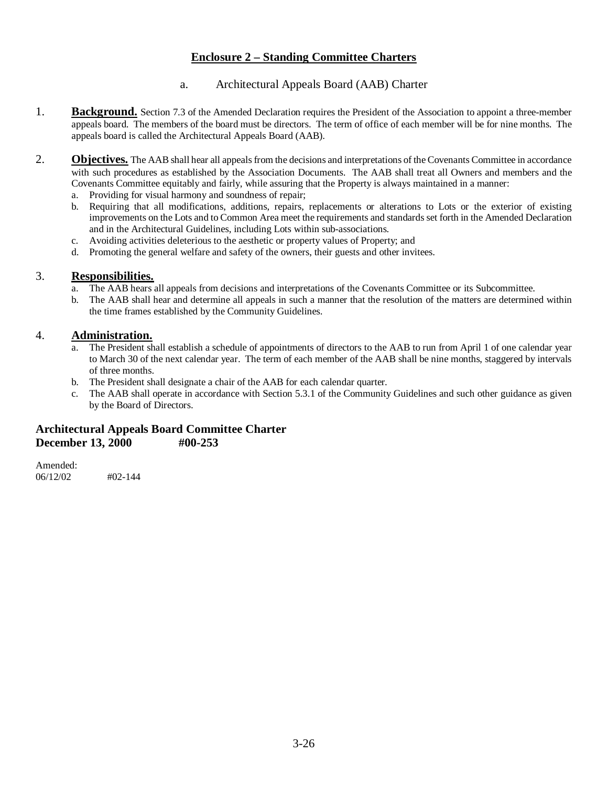### a. Architectural Appeals Board (AAB) Charter

- 1. **Background.** Section 7.3 of the Amended Declaration requires the President of the Association to appoint a three-member appeals board. The members of the board must be directors. The term of office of each member will be for nine months. The appeals board is called the Architectural Appeals Board (AAB).
- 2. **Objectives.** The AAB shall hear all appeals from the decisions and interpretations of the Covenants Committee in accordance with such procedures as established by the Association Documents. The AAB shall treat all Owners and members and the Covenants Committee equitably and fairly, while assuring that the Property is always maintained in a manner:
	- a. Providing for visual harmony and soundness of repair;
	- b. Requiring that all modifications, additions, repairs, replacements or alterations to Lots or the exterior of existing improvements on the Lots and to Common Area meet the requirements and standards set forth in the Amended Declaration and in the Architectural Guidelines, including Lots within sub-associations.
	- c. Avoiding activities deleterious to the aesthetic or property values of Property; and
	- d. Promoting the general welfare and safety of the owners, their guests and other invitees.

#### 3. **Responsibilities.**

- a. The AAB hears all appeals from decisions and interpretations of the Covenants Committee or its Subcommittee.
- b. The AAB shall hear and determine all appeals in such a manner that the resolution of the matters are determined within the time frames established by the Community Guidelines.

### 4. **Administration.**

- a. The President shall establish a schedule of appointments of directors to the AAB to run from April 1 of one calendar year to March 30 of the next calendar year. The term of each member of the AAB shall be nine months, staggered by intervals of three months.
- b. The President shall designate a chair of the AAB for each calendar quarter.
- c. The AAB shall operate in accordance with Section 5.3.1 of the Community Guidelines and such other guidance as given by the Board of Directors.

### **Architectural Appeals Board Committee Charter December 13, 2000 #00-253**

Amended: 06/12/02 #02-144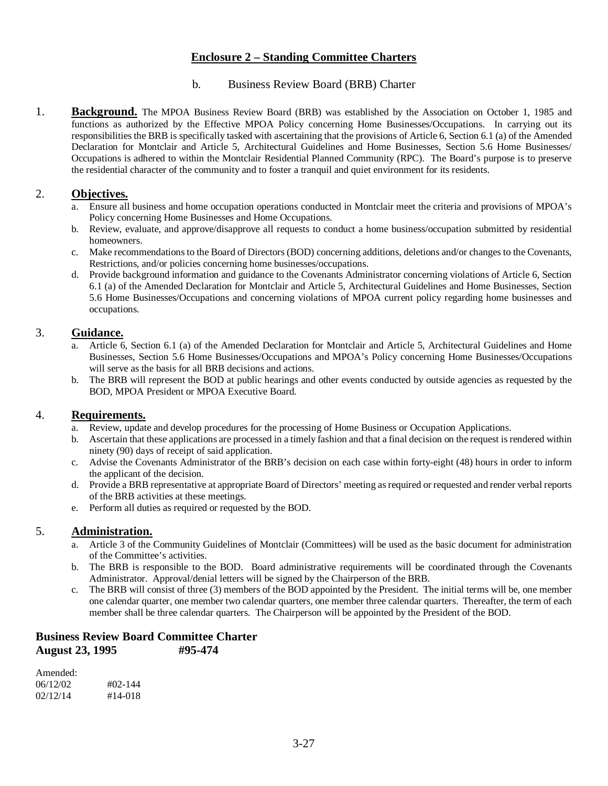### b. Business Review Board (BRB) Charter

1. **Background.** The MPOA Business Review Board (BRB) was established by the Association on October 1, 1985 and functions as authorized by the Effective MPOA Policy concerning Home Businesses/Occupations. In carrying out its responsibilities the BRB is specifically tasked with ascertaining that the provisions of Article 6, Section 6.1 (a) of the Amended Declaration for Montclair and Article 5, Architectural Guidelines and Home Businesses, Section 5.6 Home Businesses/ Occupations is adhered to within the Montclair Residential Planned Community (RPC). The Board's purpose is to preserve the residential character of the community and to foster a tranquil and quiet environment for its residents.

#### 2. **Objectives.**

- a. Ensure all business and home occupation operations conducted in Montclair meet the criteria and provisions of MPOA's Policy concerning Home Businesses and Home Occupations.
- b. Review, evaluate, and approve/disapprove all requests to conduct a home business/occupation submitted by residential homeowners.
- c. Make recommendations to the Board of Directors (BOD) concerning additions, deletions and/or changes to the Covenants, Restrictions, and/or policies concerning home businesses/occupations.
- d. Provide background information and guidance to the Covenants Administrator concerning violations of Article 6, Section 6.1 (a) of the Amended Declaration for Montclair and Article 5, Architectural Guidelines and Home Businesses, Section 5.6 Home Businesses/Occupations and concerning violations of MPOA current policy regarding home businesses and occupations.

### 3. **Guidance.**

- a. Article 6, Section 6.1 (a) of the Amended Declaration for Montclair and Article 5, Architectural Guidelines and Home Businesses, Section 5.6 Home Businesses/Occupations and MPOA's Policy concerning Home Businesses/Occupations will serve as the basis for all BRB decisions and actions.
- b. The BRB will represent the BOD at public hearings and other events conducted by outside agencies as requested by the BOD, MPOA President or MPOA Executive Board.

#### 4. **Requirements.**

- a. Review, update and develop procedures for the processing of Home Business or Occupation Applications.
- b. Ascertain that these applications are processed in a timely fashion and that a final decision on the request is rendered within ninety (90) days of receipt of said application.
- c. Advise the Covenants Administrator of the BRB's decision on each case within forty-eight (48) hours in order to inform the applicant of the decision.
- d. Provide a BRB representative at appropriate Board of Directors' meeting as required or requested and render verbal reports of the BRB activities at these meetings.
- e. Perform all duties as required or requested by the BOD.

### 5. **Administration.**

- a. Article 3 of the Community Guidelines of Montclair (Committees) will be used as the basic document for administration of the Committee's activities.
- b. The BRB is responsible to the BOD. Board administrative requirements will be coordinated through the Covenants Administrator. Approval/denial letters will be signed by the Chairperson of the BRB.
- c. The BRB will consist of three (3) members of the BOD appointed by the President. The initial terms will be, one member one calendar quarter, one member two calendar quarters, one member three calendar quarters. Thereafter, the term of each member shall be three calendar quarters. The Chairperson will be appointed by the President of the BOD.

### **Business Review Board Committee Charter August 23, 1995 #95-474**

| Amended: |              |
|----------|--------------|
| 06/12/02 | $\#02 - 144$ |
| 02/12/14 | #14-018      |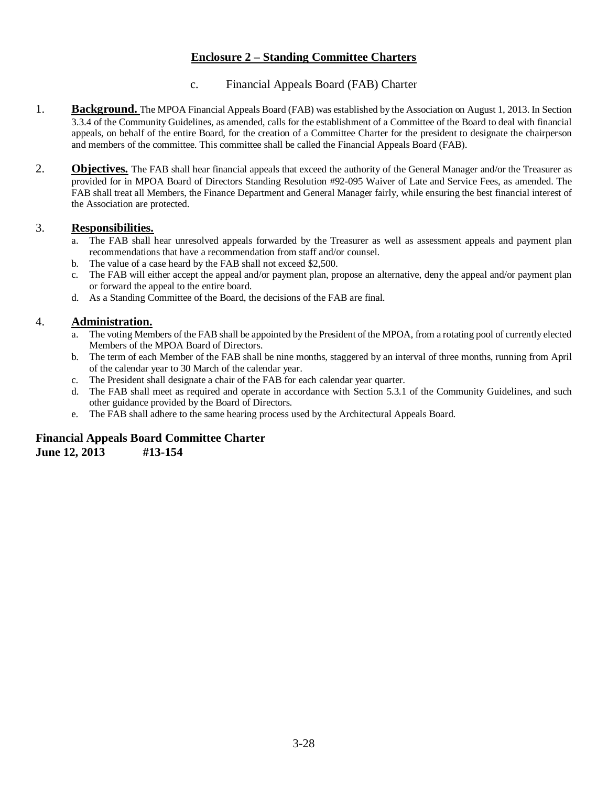### c. Financial Appeals Board (FAB) Charter

- 1. **Background.** The MPOA Financial Appeals Board (FAB) was established by the Association on August 1, 2013. In Section 3.3.4 of the Community Guidelines, as amended, calls for the establishment of a Committee of the Board to deal with financial appeals, on behalf of the entire Board, for the creation of a Committee Charter for the president to designate the chairperson and members of the committee. This committee shall be called the Financial Appeals Board (FAB).
- 2. **Objectives.** The FAB shall hear financial appeals that exceed the authority of the General Manager and/or the Treasurer as provided for in MPOA Board of Directors Standing Resolution #92-095 Waiver of Late and Service Fees, as amended. The FAB shall treat all Members, the Finance Department and General Manager fairly, while ensuring the best financial interest of the Association are protected.

#### 3. **Responsibilities.**

- The FAB shall hear unresolved appeals forwarded by the Treasurer as well as assessment appeals and payment plan recommendations that have a recommendation from staff and/or counsel.
- b. The value of a case heard by the FAB shall not exceed \$2,500.
- c. The FAB will either accept the appeal and/or payment plan, propose an alternative, deny the appeal and/or payment plan or forward the appeal to the entire board.
- d. As a Standing Committee of the Board, the decisions of the FAB are final.

### 4. **Administration.**

- a. The voting Members of the FAB shall be appointed by the President of the MPOA, from a rotating pool of currently elected Members of the MPOA Board of Directors.
- b. The term of each Member of the FAB shall be nine months, staggered by an interval of three months, running from April of the calendar year to 30 March of the calendar year.
- c. The President shall designate a chair of the FAB for each calendar year quarter.
- d. The FAB shall meet as required and operate in accordance with Section 5.3.1 of the Community Guidelines, and such other guidance provided by the Board of Directors.
- e. The FAB shall adhere to the same hearing process used by the Architectural Appeals Board.

#### **Financial Appeals Board Committee Charter June 12, 2013 #13-154**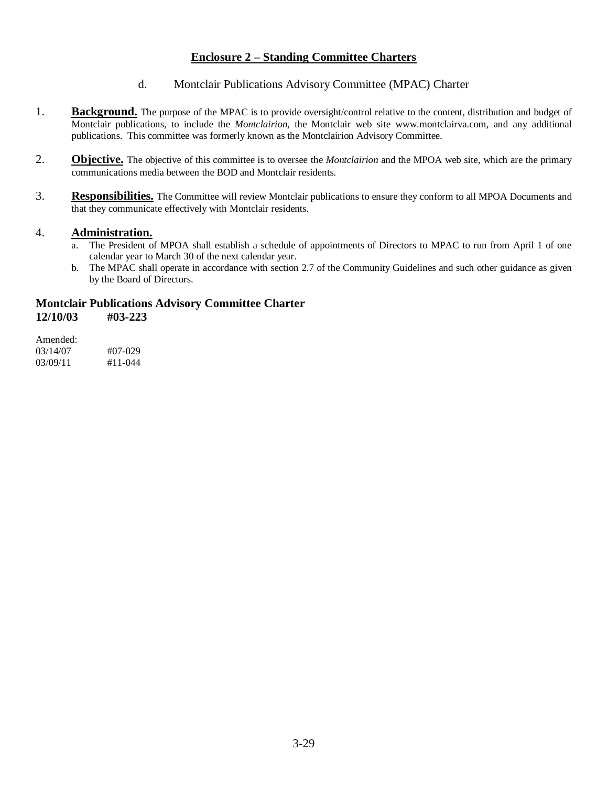- d. Montclair Publications Advisory Committee (MPAC) Charter
- 1. **Background.** The purpose of the MPAC is to provide oversight/control relative to the content, distribution and budget of Montclair publications, to include the *Montclairion*, the Montclair web site www.montclairva.com, and any additional publications. This committee was formerly known as the Montclairion Advisory Committee.
- 2. **Objective.** The objective of this committee is to oversee the *Montclairion* and the MPOA web site, which are the primary communications media between the BOD and Montclair residents.
- 3. **Responsibilities.** The Committee will review Montclair publications to ensure they conform to all MPOA Documents and that they communicate effectively with Montclair residents.

#### 4. **Administration.**

- a. The President of MPOA shall establish a schedule of appointments of Directors to MPAC to run from April 1 of one calendar year to March 30 of the next calendar year.
- b. The MPAC shall operate in accordance with section 2.7 of the Community Guidelines and such other guidance as given by the Board of Directors.

#### **Montclair Publications Advisory Committee Charter 12/10/03 #03-223**

Amended: 03/14/07 #07-029 03/09/11 #11-044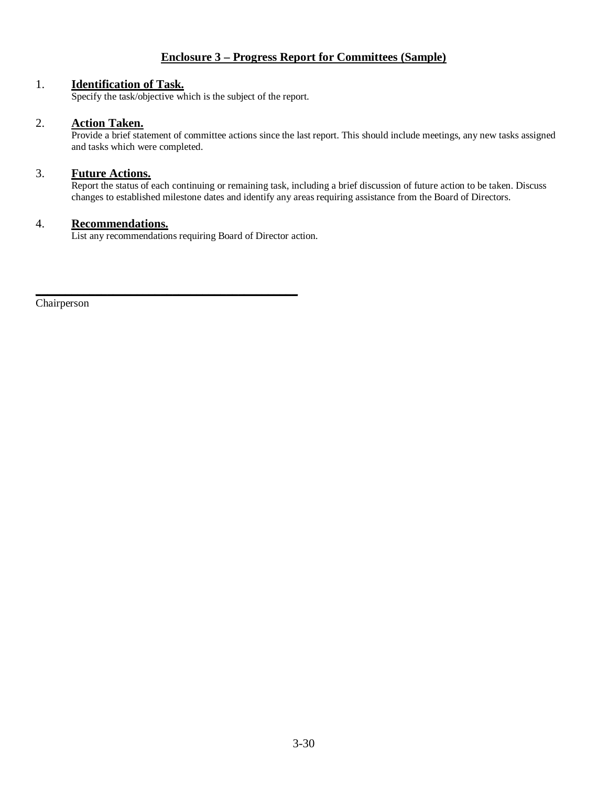### **Enclosure 3 – Progress Report for Committees (Sample)**

#### 1. **Identification of Task.**

Specify the task/objective which is the subject of the report.

### 2. **Action Taken.**

Provide a brief statement of committee actions since the last report. This should include meetings, any new tasks assigned and tasks which were completed.

#### 3. **Future Actions.**

Report the status of each continuing or remaining task, including a brief discussion of future action to be taken. Discuss changes to established milestone dates and identify any areas requiring assistance from the Board of Directors.

### 4. **Recommendations.**

List any recommendations requiring Board of Director action.

**\_\_\_\_\_\_\_\_\_\_\_\_\_\_\_\_\_\_\_\_\_\_\_\_\_\_\_\_\_\_\_\_\_\_\_\_\_\_\_\_\_\_\_\_**

Chairperson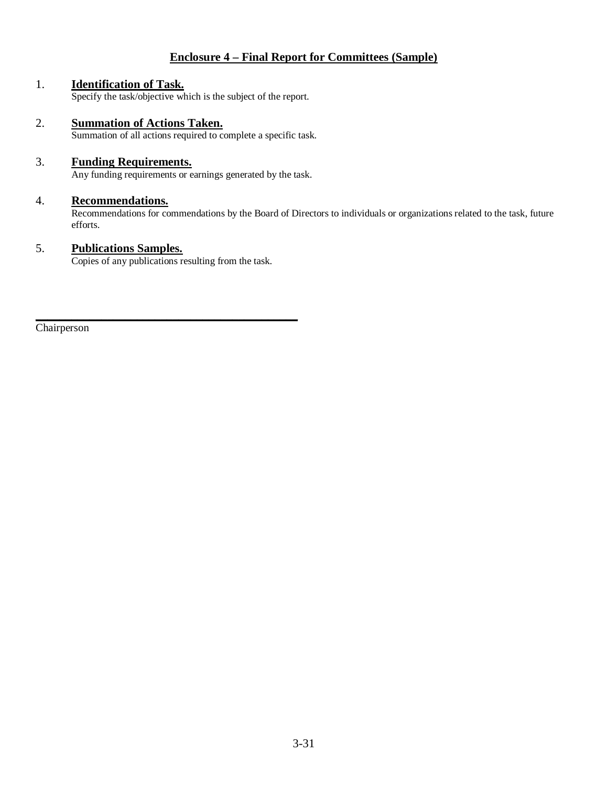# **Enclosure 4 – Final Report for Committees (Sample)**

### 1. **Identification of Task.**

Specify the task/objective which is the subject of the report.

#### 2. **Summation of Actions Taken.**

Summation of all actions required to complete a specific task.

### 3. **Funding Requirements.**

Any funding requirements or earnings generated by the task.

# 4. **Recommendations.**

Recommendations for commendations by the Board of Directors to individuals or organizations related to the task, future efforts.

# 5. **Publications Samples.**

Copies of any publications resulting from the task.

**\_\_\_\_\_\_\_\_\_\_\_\_\_\_\_\_\_\_\_\_\_\_\_\_\_\_\_\_\_\_\_\_\_\_\_\_\_\_\_\_\_\_\_\_**

**Chairperson**